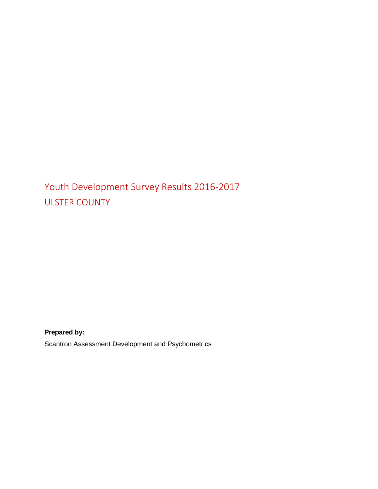## Youth Development Survey Results 2016-2017 ULSTER COUNTY

**Prepared by:**

Scantron Assessment Development and Psychometrics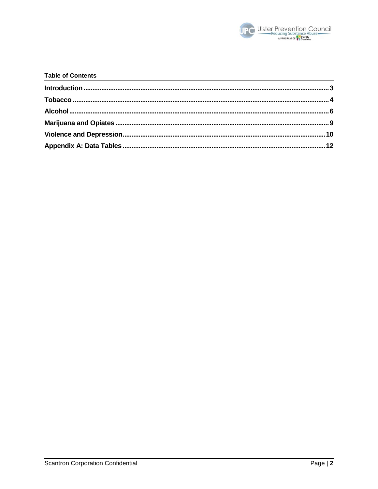

| <b>Table of Contents</b><br><u>nts</u> |  |
|----------------------------------------|--|
|                                        |  |
|                                        |  |
|                                        |  |
|                                        |  |
|                                        |  |
|                                        |  |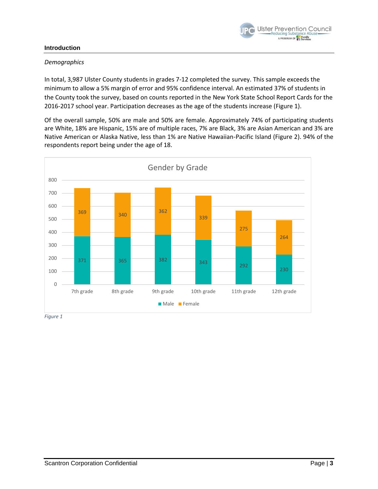

#### <span id="page-2-0"></span>**Introduction**

#### *Demographics*

In total, 3,987 Ulster County students in grades 7-12 completed the survey. This sample exceeds the minimum to allow a 5% margin of error and 95% confidence interval. An estimated 37% of students in the County took the survey, based on counts reported in the New York State School Report Cards for the 2016-2017 school year. Participation decreases as the age of the students increase (Figure 1).

Of the overall sample, 50% are male and 50% are female. Approximately 74% of participating students are White, 18% are Hispanic, 15% are of multiple races, 7% are Black, 3% are Asian American and 3% are Native American or Alaska Native, less than 1% are Native Hawaiian-Pacific Island (Figure 2). 94% of the respondents report being under the age of 18.

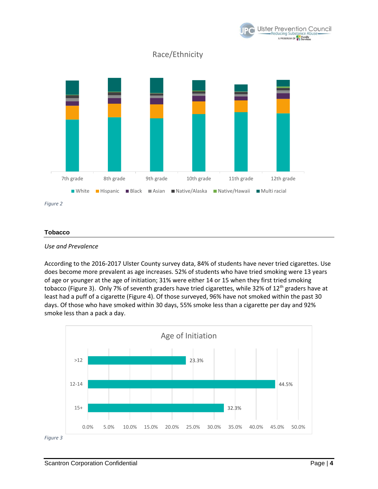

#### <span id="page-3-0"></span>**Tobacco**



According to the 2016-2017 Ulster County survey data, 84% of students have never tried cigarettes. Use does become more prevalent as age increases. 52% of students who have tried smoking were 13 years of age or younger at the age of initiation; 31% were either 14 or 15 when they first tried smoking tobacco (Figure 3). Only 7% of seventh graders have tried cigarettes, while 32% of 12<sup>th</sup> graders have at least had a puff of a cigarette (Figure 4). Of those surveyed, 96% have not smoked within the past 30 days. Of those who have smoked within 30 days, 55% smoke less than a cigarette per day and 92% smoke less than a pack a day.



*Figure 3*

**Ulster Prevention Council** educing Substance Ab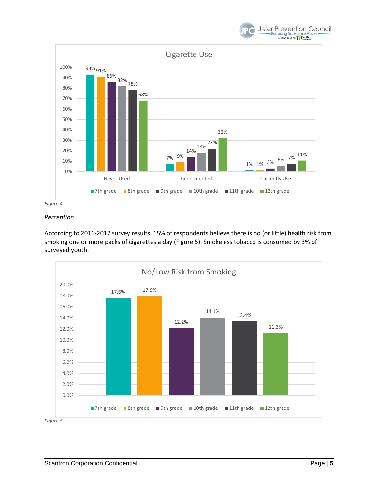





#### *Perception*

According to 2016-2017 survey results, 15% of respondents believe there is no (or little) health risk from smoking one or more packs of cigarettes a day (Figure 5). Smokeless tobacco is consumed by 3% of surveyed youth.



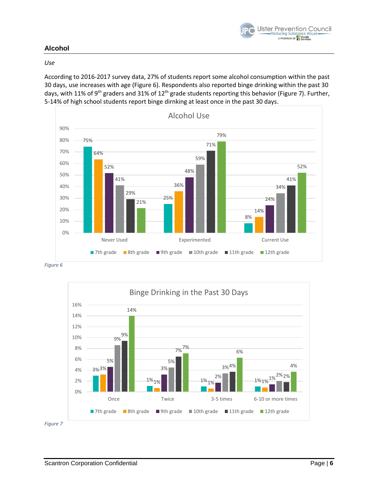

## <span id="page-5-0"></span>**Alcohol**

#### *Use*

According to 2016-2017 survey data, 27% of students report some alcohol consumption within the past 30 days, use increases with age (Figure 6). Respondents also reported binge drinking within the past 30 days, with 11% of 9<sup>th</sup> graders and 31% of 12<sup>th</sup> grade students reporting this behavior (Figure 7). Further, 5-14% of high school students report binge dirnking at least once in the past 30 days.



*Figure 6*



*Figure 7*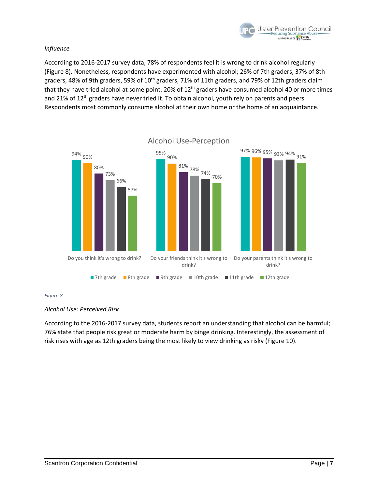

#### *Influence*

According to 2016-2017 survey data, 78% of respondents feel it is wrong to drink alcohol regularly (Figure 8). Nonetheless, respondents have experimented with alcohol; 26% of 7th graders, 37% of 8th graders, 48% of 9th graders, 59% of 10<sup>th</sup> graders, 71% of 11th graders, and 79% of 12th graders claim that they have tried alcohol at some point. 20% of  $12<sup>th</sup>$  graders have consumed alcohol 40 or more times and 21% of 12<sup>th</sup> graders have never tried it. To obtain alcohol, youth rely on parents and peers. Respondents most commonly consume alcohol at their own home or the home of an acquaintance.



#### *Figure 8*

#### *Alcohol Use: Perceived Risk*

According to the 2016-2017 survey data, students report an understanding that alcohol can be harmful; 76% state that people risk great or moderate harm by binge drinking. Interestingly, the assessment of risk rises with age as 12th graders being the most likely to view drinking as risky (Figure 10).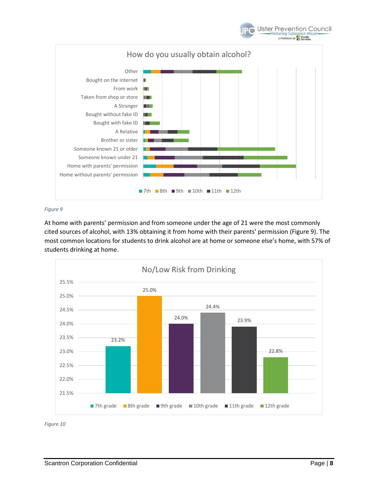

#### *Figure 9*

At home with parents' permission and from someone under the age of 21 were the most commonly cited sources of alcohol, with 13% obtaining it from home with their parents' permission (Figure 9). The most common locations for students to drink alcohol are at home or someone else's home, with 57% of students drinking at home.



*Figure 10*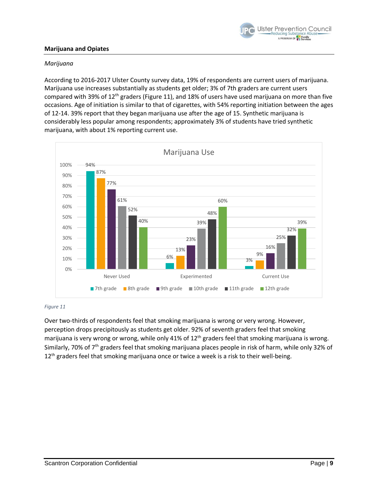

#### <span id="page-8-0"></span>**Marijuana and Opiates**

#### *Marijuana*

According to 2016-2017 Ulster County survey data, 19% of respondents are current users of marijuana. Marijuana use increases substantially as students get older; 3% of 7th graders are current users compared with 39% of 12<sup>th</sup> graders (Figure 11), and 18% of users have used marijuana on more than five occasions. Age of initiation is similar to that of cigarettes, with 54% reporting initiation between the ages of 12-14. 39% report that they began marijuana use after the age of 15. Synthetic marijuana is considerably less popular among respondents; approximately 3% of students have tried synthetic marijuana, with about 1% reporting current use.



#### *Figure 11*

Over two-thirds of respondents feel that smoking marijuana is wrong or very wrong. However, perception drops precipitously as students get older. 92% of seventh graders feel that smoking marijuana is very wrong or wrong, while only 41% of 12<sup>th</sup> graders feel that smoking marijuana is wrong. Similarly, 70% of 7<sup>th</sup> graders feel that smoking marijuana places people in risk of harm, while only 32% of 12<sup>th</sup> graders feel that smoking marijuana once or twice a week is a risk to their well-being.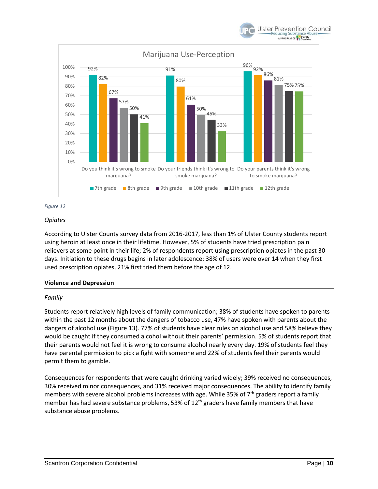





#### *Opiates*

According to Ulster County survey data from 2016-2017, less than 1% of Ulster County students report using heroin at least once in their lifetime. However, 5% of students have tried prescription pain relievers at some point in their life; 2% of respondents report using prescription opiates in the past 30 days. Initiation to these drugs begins in later adolescence: 38% of users were over 14 when they first used prescription opiates, 21% first tried them before the age of 12.

#### <span id="page-9-0"></span>**Violence and Depression**

#### *Family*

Students report relatively high levels of family communication; 38% of students have spoken to parents within the past 12 months about the dangers of tobacco use, 47% have spoken with parents about the dangers of alcohol use (Figure 13). 77% of students have clear rules on alcohol use and 58% believe they would be caught if they consumed alcohol without their parents' permission. 5% of students report that their parents would not feel it is wrong to consume alcohol nearly every day. 19% of students feel they have parental permission to pick a fight with someone and 22% of students feel their parents would permit them to gamble.

Consequences for respondents that were caught drinking varied widely; 39% received no consequences, 30% received minor consequences, and 31% received major consequences. The ability to identify family members with severe alcohol problems increases with age. While 35% of 7<sup>th</sup> graders report a family member has had severe substance problems, 53% of 12<sup>th</sup> graders have family members that have substance abuse problems.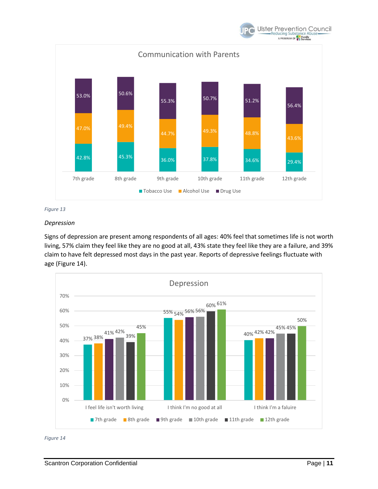



#### *Depression*

Signs of depression are present among respondents of all ages: 40% feel that sometimes life is not worth living, 57% claim they feel like they are no good at all, 43% state they feel like they are a failure, and 39% claim to have felt depressed most days in the past year. Reports of depressive feelings fluctuate with age (Figure 14).



*Figure 14*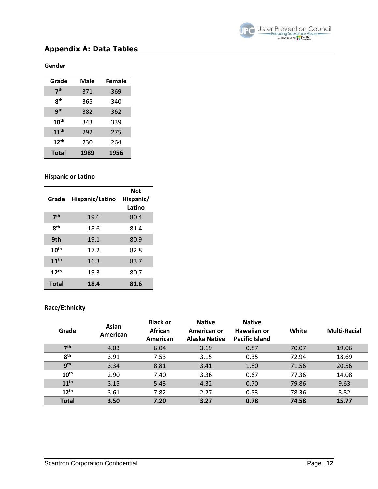

## <span id="page-11-0"></span>**Appendix A: Data Tables**

#### **Gender**

| Grade            | Male | Female |
|------------------|------|--------|
| 7 <sup>th</sup>  | 371  | 369    |
| 8 <sup>th</sup>  | 365  | 340    |
| g <sup>th</sup>  | 382  | 362    |
| $10^{\text{th}}$ | 343  | 339    |
| 11 <sup>th</sup> | 292  | 275    |
| 12 <sup>th</sup> | 230  | 264    |
| <b>Total</b>     | 1989 | 1956   |

#### **Hispanic or Latino**

| Grade            | Hispanic/Latino | <b>Not</b><br>Hispanic/<br>Latino |
|------------------|-----------------|-----------------------------------|
| 7 <sup>th</sup>  | 19.6            | 80.4                              |
| <b>gth</b>       | 18.6            | 81.4                              |
| 9th              | 19.1            | 80.9                              |
| $10^{\text{th}}$ | 17.2            | 82.8                              |
| 11 <sup>th</sup> | 16.3            | 83.7                              |
| $12^{th}$        | 19.3            | 80.7                              |
| <b>Total</b>     | 18.4            | 81.6                              |

## **Race/Ethnicity**

| Grade            | Asian<br>American | <b>Black or</b><br>African<br>American | <b>Native</b><br>American or<br>Alaska Native | <b>Native</b><br>Hawaiian or<br><b>Pacific Island</b> | White | <b>Multi-Racial</b> |
|------------------|-------------------|----------------------------------------|-----------------------------------------------|-------------------------------------------------------|-------|---------------------|
| 7 <sup>th</sup>  | 4.03              | 6.04                                   | 3.19                                          | 0.87                                                  | 70.07 | 19.06               |
| 8 <sup>th</sup>  | 3.91              | 7.53                                   | 3.15                                          | 0.35                                                  | 72.94 | 18.69               |
| 9 <sup>th</sup>  | 3.34              | 8.81                                   | 3.41                                          | 1.80                                                  | 71.56 | 20.56               |
| 10 <sup>th</sup> | 2.90              | 7.40                                   | 3.36                                          | 0.67                                                  | 77.36 | 14.08               |
| 11 <sup>th</sup> | 3.15              | 5.43                                   | 4.32                                          | 0.70                                                  | 79.86 | 9.63                |
| $12^{th}$        | 3.61              | 7.82                                   | 2.27                                          | 0.53                                                  | 78.36 | 8.82                |
| <b>Total</b>     | 3.50              | 7.20                                   | 3.27                                          | 0.78                                                  | 74.58 | 15.77               |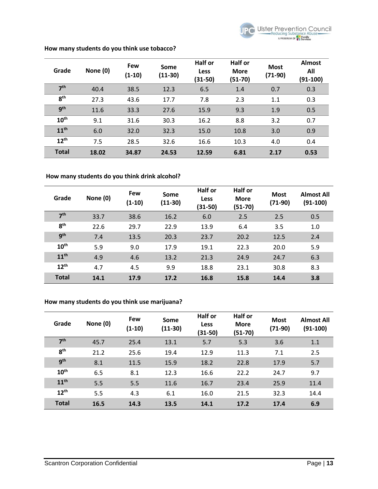

| Grade            | None (0) | <b>Few</b><br>$(1-10)$ | Some<br>$(11-30)$ | Half or<br><b>Less</b><br>$(31-50)$ | <b>Half or</b><br><b>More</b><br>$(51-70)$ | <b>Most</b><br>$(71-90)$ | <b>Almost</b><br>All<br>$(91-100)$ |
|------------------|----------|------------------------|-------------------|-------------------------------------|--------------------------------------------|--------------------------|------------------------------------|
| 7 <sup>th</sup>  | 40.4     | 38.5                   | 12.3              | 6.5                                 | 1.4                                        | 0.7                      | 0.3                                |
| 8 <sup>th</sup>  | 27.3     | 43.6                   | 17.7              | 7.8                                 | 2.3                                        | 1.1                      | 0.3                                |
| g <sub>th</sub>  | 11.6     | 33.3                   | 27.6              | 15.9                                | 9.3                                        | 1.9                      | 0.5                                |
| 10 <sup>th</sup> | 9.1      | 31.6                   | 30.3              | 16.2                                | 8.8                                        | 3.2                      | 0.7                                |
| 11 <sup>th</sup> | 6.0      | 32.0                   | 32.3              | 15.0                                | 10.8                                       | 3.0                      | 0.9                                |
| $12^{th}$        | 7.5      | 28.5                   | 32.6              | 16.6                                | 10.3                                       | 4.0                      | 0.4                                |
| <b>Total</b>     | 18.02    | 34.87                  | 24.53             | 12.59                               | 6.81                                       | 2.17                     | 0.53                               |

#### **How many students do you think use tobacco?**

## **How many students do you think drink alcohol?**

| Grade            | None (0) | <b>Few</b><br>$(1-10)$ | Some<br>$(11-30)$ | Half or<br><b>Less</b><br>(31-50) | Half or<br><b>More</b><br>$(51-70)$ | <b>Most</b><br>$(71-90)$ | <b>Almost All</b><br>$(91-100)$ |
|------------------|----------|------------------------|-------------------|-----------------------------------|-------------------------------------|--------------------------|---------------------------------|
| 7 <sup>th</sup>  | 33.7     | 38.6                   | 16.2              | 6.0                               | 2.5                                 | 2.5                      | 0.5                             |
| 8 <sup>th</sup>  | 22.6     | 29.7                   | 22.9              | 13.9                              | 6.4                                 | 3.5                      | 1.0                             |
| 9 <sup>th</sup>  | 7.4      | 13.5                   | 20.3              | 23.7                              | 20.2                                | 12.5                     | 2.4                             |
| 10 <sup>th</sup> | 5.9      | 9.0                    | 17.9              | 19.1                              | 22.3                                | 20.0                     | 5.9                             |
| 11 <sup>th</sup> | 4.9      | 4.6                    | 13.2              | 21.3                              | 24.9                                | 24.7                     | 6.3                             |
| $12^{th}$        | 4.7      | 4.5                    | 9.9               | 18.8                              | 23.1                                | 30.8                     | 8.3                             |
| <b>Total</b>     | 14.1     | 17.9                   | 17.2              | 16.8                              | 15.8                                | 14.4                     | 3.8                             |

#### **How many students do you think use marijuana?**

| Grade            | None (0) | Few<br>$(1-10)$ | Some<br>$(11-30)$ | <b>Half or</b><br><b>Less</b><br>$(31-50)$ | Half or<br><b>More</b><br>$(51-70)$ | <b>Most</b><br>$(71-90)$ | <b>Almost All</b><br>$(91-100)$ |
|------------------|----------|-----------------|-------------------|--------------------------------------------|-------------------------------------|--------------------------|---------------------------------|
| 7 <sup>th</sup>  | 45.7     | 25.4            | 13.1              | 5.7                                        | 5.3                                 | 3.6                      | 1.1                             |
| 8 <sup>th</sup>  | 21.2     | 25.6            | 19.4              | 12.9                                       | 11.3                                | 7.1                      | 2.5                             |
| <b>gth</b>       | 8.1      | 11.5            | 15.9              | 18.2                                       | 22.8                                | 17.9                     | 5.7                             |
| 10 <sup>th</sup> | 6.5      | 8.1             | 12.3              | 16.6                                       | 22.2                                | 24.7                     | 9.7                             |
| 11 <sup>th</sup> | 5.5      | 5.5             | 11.6              | 16.7                                       | 23.4                                | 25.9                     | 11.4                            |
| $12^{th}$        | 5.5      | 4.3             | 6.1               | 16.0                                       | 21.5                                | 32.3                     | 14.4                            |
| <b>Total</b>     | 16.5     | 14.3            | 13.5              | 14.1                                       | 17.2                                | 17.4                     | 6.9                             |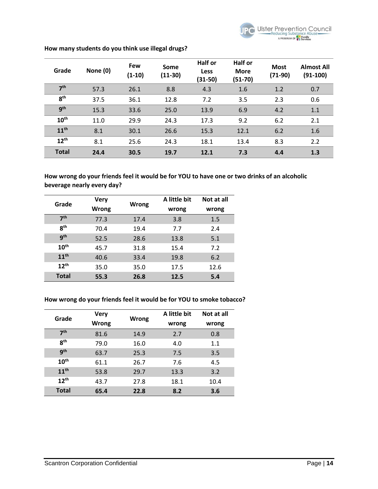

| Grade            | None (0) | Few<br>$(1-10)$ | Some<br>$(11-30)$ | Half or<br><b>Less</b><br>$(31-50)$ | Half or<br><b>More</b><br>$(51-70)$ | <b>Most</b><br>$(71-90)$ | <b>Almost All</b><br>$(91-100)$ |
|------------------|----------|-----------------|-------------------|-------------------------------------|-------------------------------------|--------------------------|---------------------------------|
| 7 <sup>th</sup>  | 57.3     | 26.1            | 8.8               | 4.3                                 | 1.6                                 | 1.2                      | 0.7                             |
| 8 <sup>th</sup>  | 37.5     | 36.1            | 12.8              | 7.2                                 | 3.5                                 | 2.3                      | 0.6                             |
| 9 <sup>th</sup>  | 15.3     | 33.6            | 25.0              | 13.9                                | 6.9                                 | 4.2                      | 1.1                             |
| 10 <sup>th</sup> | 11.0     | 29.9            | 24.3              | 17.3                                | 9.2                                 | 6.2                      | 2.1                             |
| 11 <sup>th</sup> | 8.1      | 30.1            | 26.6              | 15.3                                | 12.1                                | 6.2                      | 1.6                             |
| 12 <sup>th</sup> | 8.1      | 25.6            | 24.3              | 18.1                                | 13.4                                | 8.3                      | 2.2                             |
| <b>Total</b>     | 24.4     | 30.5            | 19.7              | 12.1                                | 7.3                                 | 4.4                      | 1.3                             |

#### **How many students do you think use illegal drugs?**

**How wrong do your friends feel it would be for YOU to have one or two drinks of an alcoholic beverage nearly every day?** 

| Grade            | <b>Very</b> |       | A little bit | Not at all |
|------------------|-------------|-------|--------------|------------|
|                  | Wrong       | Wrong | wrong        | wrong      |
| 7 <sup>th</sup>  | 77.3        | 17.4  | 3.8          | 1.5        |
| 8 <sup>th</sup>  | 70.4        | 19.4  | 7.7          | 2.4        |
| q <sup>th</sup>  | 52.5        | 28.6  | 13.8         | 5.1        |
| 10 <sup>th</sup> | 45.7        | 31.8  | 15.4         | 7.2        |
| 11 <sup>th</sup> | 40.6        | 33.4  | 19.8         | 6.2        |
| 12 <sup>th</sup> | 35.0        | 35.0  | 17.5         | 12.6       |
| <b>Total</b>     | 55.3        | 26.8  | 12.5         | 5.4        |

## **How wrong do your friends feel it would be for YOU to smoke tobacco?**

| Grade            | <b>Very</b> | <b>Wrong</b> | A little bit | Not at all |
|------------------|-------------|--------------|--------------|------------|
|                  | Wrong       |              | wrong        | wrong      |
| 7 <sup>th</sup>  | 81.6        | 14.9         | 2.7          | 0.8        |
| R <sup>th</sup>  | 79.0        | 16.0         | 4.0          | 1.1        |
| <b>gth</b>       | 63.7        | 25.3         | 7.5          | 3.5        |
| 10 <sup>th</sup> | 61.1        | 26.7         | 7.6          | 4.5        |
| 11 <sup>th</sup> | 53.8        | 29.7         | 13.3         | 3.2        |
| $12^{th}$        | 43.7        | 27.8         | 18.1         | 10.4       |
| <b>Total</b>     | 65.4        | 22.8         | 8.2          | 3.6        |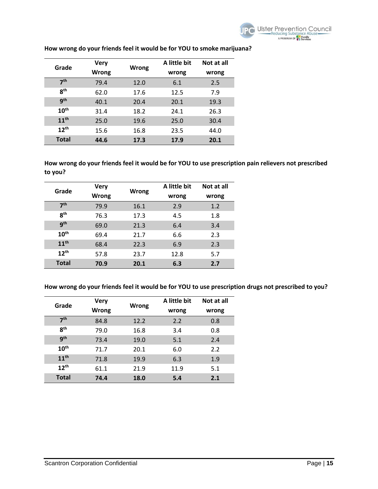| Grade            | <b>Very</b>  |       | A little bit | Not at all |
|------------------|--------------|-------|--------------|------------|
|                  | <b>Wrong</b> | Wrong | wrong        | wrong      |
| 7 <sup>th</sup>  | 79.4         | 12.0  | 6.1          | 2.5        |
| <b>Rth</b>       | 62.0         | 17.6  | 12.5         | 7.9        |
| <b>gth</b>       | 40.1         | 20.4  | 20.1         | 19.3       |
| 10 <sup>th</sup> | 31.4         | 18.2  | 24.1         | 26.3       |
| 11 <sup>th</sup> | 25.0         | 19.6  | 25.0         | 30.4       |
| $12^{th}$        | 15.6         | 16.8  | 23.5         | 44.0       |
| Total            | 44.6         | 17.3  | 17.9         | 20.1       |

## **How wrong do your friends feel it would be for YOU to smoke marijuana?**

**How wrong do your friends feel it would be for YOU to use prescription pain relievers not prescribed to you?** 

| Grade            | <b>Very</b><br>Wrong | Wrong | A little bit<br>wrong | Not at all<br>wrong |
|------------------|----------------------|-------|-----------------------|---------------------|
| 7 <sup>th</sup>  | 79.9                 | 16.1  | 2.9                   | 1.2                 |
| R <sup>th</sup>  | 76.3                 | 17.3  | 4.5                   | 1.8                 |
| g <sub>th</sub>  | 69.0                 | 21.3  | 6.4                   | 3.4                 |
| 10 <sup>th</sup> | 69.4                 | 21.7  | 6.6                   | 2.3                 |
| 11 <sup>th</sup> | 68.4                 | 22.3  | 6.9                   | 2.3                 |
| 12 <sup>th</sup> | 57.8                 | 23.7  | 12.8                  | 5.7                 |
| <b>Total</b>     | 70.9                 | 20.1  | 6.3                   | 2.7                 |

**How wrong do your friends feel it would be for YOU to use prescription drugs not prescribed to you?** 

| Grade            | <b>Very</b>  |       | A little bit | Not at all |
|------------------|--------------|-------|--------------|------------|
|                  | <b>Wrong</b> | Wrong | wrong        | wrong      |
| 7 <sup>th</sup>  | 84.8         | 12.2  | 2.2          | 0.8        |
| R <sup>th</sup>  | 79.0         | 16.8  | 3.4          | 0.8        |
| gth              | 73.4         | 19.0  | 5.1          | 2.4        |
| 10 <sup>th</sup> | 71.7         | 20.1  | 6.0          | 2.2        |
| 11 <sup>th</sup> | 71.8         | 19.9  | 6.3          | 1.9        |
| $12^{th}$        | 61.1         | 21.9  | 11.9         | 5.1        |
| <b>Total</b>     | 74.4         | 18.0  | 5.4          | 2.1        |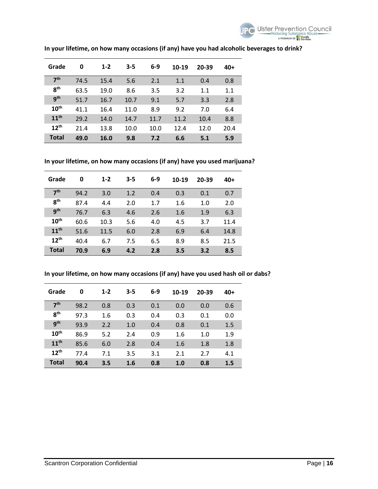

| Grade            | 0    | $1 - 2$ | $3 - 5$ | $6-9$ | 10-19 | 20-39 | 40+  |
|------------------|------|---------|---------|-------|-------|-------|------|
| 7 <sup>th</sup>  | 74.5 | 15.4    | 5.6     | 2.1   | 1.1   | 0.4   | 0.8  |
| 8 <sup>th</sup>  | 63.5 | 19.0    | 8.6     | 3.5   | 3.2   | 1.1   | 1.1  |
| <b>gth</b>       | 51.7 | 16.7    | 10.7    | 9.1   | 5.7   | 3.3   | 2.8  |
| 10 <sup>th</sup> | 41.1 | 16.4    | 11.0    | 8.9   | 9.2   | 7.0   | 6.4  |
| 11 <sup>th</sup> | 29.2 | 14.0    | 14.7    | 11.7  | 11.2  | 10.4  | 8.8  |
| $12^{th}$        | 21.4 | 13.8    | 10.0    | 10.0  | 12.4  | 12.0  | 20.4 |
| <b>Total</b>     | 49.0 | 16.0    | 9.8     | 7.2   | 6.6   | 5.1   | 5.9  |

## **In your lifetime, on how many occasions (if any) have you had alcoholic beverages to drink?**

**In your lifetime, on how many occasions (if any) have you used marijuana?** 

| Grade            | 0    | $1 - 2$ | $3 - 5$ | $6-9$ | 10-19 | 20-39 | 40+  |
|------------------|------|---------|---------|-------|-------|-------|------|
| 7 <sup>th</sup>  | 94.2 | 3.0     | 1.2     | 0.4   | 0.3   | 0.1   | 0.7  |
| <b>gth</b>       | 87.4 | 4.4     | 2.0     | 1.7   | 1.6   | 1.0   | 2.0  |
| <b>gth</b>       | 76.7 | 6.3     | 4.6     | 2.6   | 1.6   | 1.9   | 6.3  |
| 10 <sup>th</sup> | 60.6 | 10.3    | 5.6     | 4.0   | 4.5   | 3.7   | 11.4 |
| 11 <sup>th</sup> | 51.6 | 11.5    | 6.0     | 2.8   | 6.9   | 6.4   | 14.8 |
| 12 <sup>th</sup> | 40.4 | 6.7     | 7.5     | 6.5   | 8.9   | 8.5   | 21.5 |
| <b>Total</b>     | 70.9 | 6.9     | 4.2     | 2.8   | 3.5   | 3.2   | 8.5  |

**In your lifetime, on how many occasions (if any) have you used hash oil or dabs?** 

| Grade            | 0    | $1 - 2$ | $3 - 5$ | $6-9$ | 10-19 | 20-39 | 40+ |
|------------------|------|---------|---------|-------|-------|-------|-----|
| 7 <sup>th</sup>  | 98.2 | 0.8     | 0.3     | 0.1   | 0.0   | 0.0   | 0.6 |
| 8 <sup>th</sup>  | 97.3 | 1.6     | 0.3     | 0.4   | 0.3   | 0.1   | 0.0 |
| <b>gth</b>       | 93.9 | 2.2     | 1.0     | 0.4   | 0.8   | 0.1   | 1.5 |
| 10 <sup>th</sup> | 86.9 | 5.2     | 2.4     | 0.9   | 1.6   | 1.0   | 1.9 |
| 11 <sup>th</sup> | 85.6 | 6.0     | 2.8     | 0.4   | 1.6   | 1.8   | 1.8 |
| 12 <sup>th</sup> | 77.4 | 7.1     | 3.5     | 3.1   | 2.1   | 2.7   | 4.1 |
| <b>Total</b>     | 90.4 | 3.5     | 1.6     | 0.8   | 1.0   | 0.8   | 1.5 |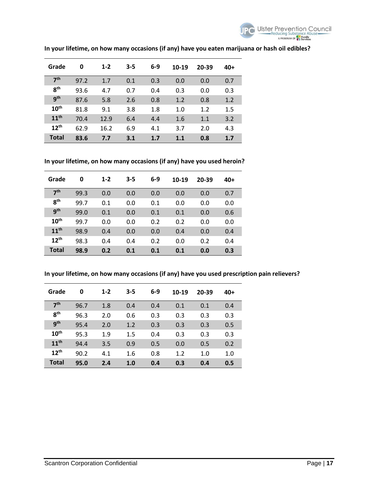

| Grade            | 0    | $1 - 2$ | $3 - 5$ | $6-9$ | 10-19 | 20-39 | 40+ |
|------------------|------|---------|---------|-------|-------|-------|-----|
| 7 <sup>th</sup>  | 97.2 | 1.7     | 0.1     | 0.3   | 0.0   | 0.0   | 0.7 |
| 8 <sup>th</sup>  | 93.6 | 4.7     | 0.7     | 0.4   | 0.3   | 0.0   | 0.3 |
| gth              | 87.6 | 5.8     | 2.6     | 0.8   | 1.2   | 0.8   | 1.2 |
| 10 <sup>th</sup> | 81.8 | 9.1     | 3.8     | 1.8   | 1.0   | 1.2   | 1.5 |
| 11 <sup>th</sup> | 70.4 | 12.9    | 6.4     | 4.4   | 1.6   | 1.1   | 3.2 |
| $12^{th}$        | 62.9 | 16.2    | 6.9     | 4.1   | 3.7   | 2.0   | 4.3 |
| Total            | 83.6 | 7.7     | 3.1     | 1.7   | 1.1   | 0.8   | 1.7 |

## **In your lifetime, on how many occasions (if any) have you eaten marijuana or hash oil edibles?**

**In your lifetime, on how many occasions (if any) have you used heroin?** 

| Grade            | 0    | $1 - 2$ | $3 - 5$ | $6-9$ | 10-19 | 20-39 | 40+ |
|------------------|------|---------|---------|-------|-------|-------|-----|
| 7 <sup>th</sup>  | 99.3 | 0.0     | 0.0     | 0.0   | 0.0   | 0.0   | 0.7 |
| <b>gth</b>       | 99.7 | 0.1     | 0.0     | 0.1   | 0.0   | 0.0   | 0.0 |
| gth              | 99.0 | 0.1     | 0.0     | 0.1   | 0.1   | 0.0   | 0.6 |
| 10 <sup>th</sup> | 99.7 | 0.0     | 0.0     | 0.2   | 0.2   | 0.0   | 0.0 |
| 11 <sup>th</sup> | 98.9 | 0.4     | 0.0     | 0.0   | 0.4   | 0.0   | 0.4 |
| 12 <sup>th</sup> | 98.3 | 0.4     | 0.4     | 0.2   | 0.0   | 0.2   | 0.4 |
| <b>Total</b>     | 98.9 | 0.2     | 0.1     | 0.1   | 0.1   | 0.0   | 0.3 |

**In your lifetime, on how many occasions (if any) have you used prescription pain relievers?** 

| Grade            | 0    | $1 - 2$ | $3 - 5$ | $6-9$ | 10-19 | 20-39 | $40+$ |
|------------------|------|---------|---------|-------|-------|-------|-------|
| 7 <sup>th</sup>  | 96.7 | 1.8     | 0.4     | 0.4   | 0.1   | 0.1   | 0.4   |
| <b>gth</b>       | 96.3 | 2.0     | 0.6     | 0.3   | 0.3   | 0.3   | 0.3   |
| <b>gth</b>       | 95.4 | 2.0     | 1.2     | 0.3   | 0.3   | 0.3   | 0.5   |
| 10 <sup>th</sup> | 95.3 | 1.9     | $1.5\,$ | 0.4   | 0.3   | 0.3   | 0.3   |
| 11 <sup>th</sup> | 94.4 | 3.5     | 0.9     | 0.5   | 0.0   | 0.5   | 0.2   |
| $12^{th}$        | 90.2 | 4.1     | 1.6     | 0.8   | 1.2   | 1.0   | 1.0   |
| <b>Total</b>     | 95.0 | 2.4     | 1.0     | 0.4   | 0.3   | 0.4   | 0.5   |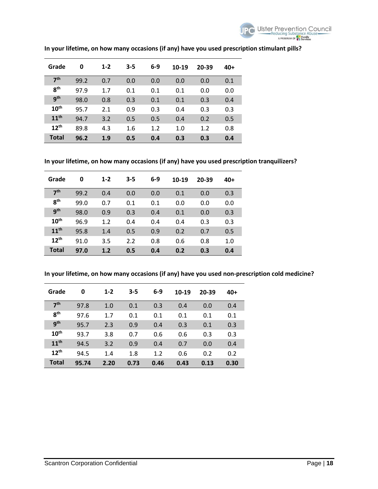

| Grade            | 0    | $1 - 2$ | $3 - 5$ | $6-9$ | 10-19 | 20-39 | 40+ |
|------------------|------|---------|---------|-------|-------|-------|-----|
| 7 <sup>th</sup>  | 99.2 | 0.7     | 0.0     | 0.0   | 0.0   | 0.0   | 0.1 |
| <b>gth</b>       | 97.9 | 1.7     | 0.1     | 0.1   | 0.1   | 0.0   | 0.0 |
| <b>gth</b>       | 98.0 | 0.8     | 0.3     | 0.1   | 0.1   | 0.3   | 0.4 |
| $10^{\text{th}}$ | 95.7 | 2.1     | 0.9     | 0.3   | 0.4   | 0.3   | 0.3 |
| 11 <sup>th</sup> | 94.7 | 3.2     | 0.5     | 0.5   | 0.4   | 0.2   | 0.5 |
| $12^{th}$        | 89.8 | 4.3     | 1.6     | 1.2   | 1.0   | 1.2   | 0.8 |
| <b>Total</b>     | 96.2 | 1.9     | 0.5     | 0.4   | 0.3   | 0.3   | 0.4 |

## **In your lifetime, on how many occasions (if any) have you used prescription stimulant pills?**

**In your lifetime, on how many occasions (if any) have you used prescription tranquilizers?** 

| Grade            | 0    | $1 - 2$ | $3 - 5$ | $6-9$ | 10-19 | 20-39 | 40+ |
|------------------|------|---------|---------|-------|-------|-------|-----|
| 7 <sup>th</sup>  | 99.2 | 0.4     | 0.0     | 0.0   | 0.1   | 0.0   | 0.3 |
| 8 <sup>th</sup>  | 99.0 | 0.7     | 0.1     | 0.1   | 0.0   | 0.0   | 0.0 |
| gth              | 98.0 | 0.9     | 0.3     | 0.4   | 0.1   | 0.0   | 0.3 |
| 10 <sup>th</sup> | 96.9 | 1.2     | 0.4     | 0.4   | 0.4   | 0.3   | 0.3 |
| 11 <sup>th</sup> | 95.8 | 1.4     | 0.5     | 0.9   | 0.2   | 0.7   | 0.5 |
| 12 <sup>th</sup> | 91.0 | 3.5     | 2.2     | 0.8   | 0.6   | 0.8   | 1.0 |
| <b>Total</b>     | 97.0 | 1.2     | 0.5     | 0.4   | 0.2   | 0.3   | 0.4 |

**In your lifetime, on how many occasions (if any) have you used non-prescription cold medicine?** 

| Grade            | 0     | $1 - 2$ | $3 - 5$ | $6-9$ | 10-19 | 20-39 | $40+$ |
|------------------|-------|---------|---------|-------|-------|-------|-------|
| 7 <sup>th</sup>  | 97.8  | 1.0     | 0.1     | 0.3   | 0.4   | 0.0   | 0.4   |
| 8 <sup>th</sup>  | 97.6  | 1.7     | 0.1     | 0.1   | 0.1   | 0.1   | 0.1   |
| gth              | 95.7  | 2.3     | 0.9     | 0.4   | 0.3   | 0.1   | 0.3   |
| 10 <sup>th</sup> | 93.7  | 3.8     | 0.7     | 0.6   | 0.6   | 0.3   | 0.3   |
| 11 <sup>th</sup> | 94.5  | 3.2     | 0.9     | 0.4   | 0.7   | 0.0   | 0.4   |
| $12^{th}$        | 94.5  | 1.4     | 1.8     | 1.2   | 0.6   | 0.2   | 0.2   |
| <b>Total</b>     | 95.74 | 2.20    | 0.73    | 0.46  | 0.43  | 0.13  | 0.30  |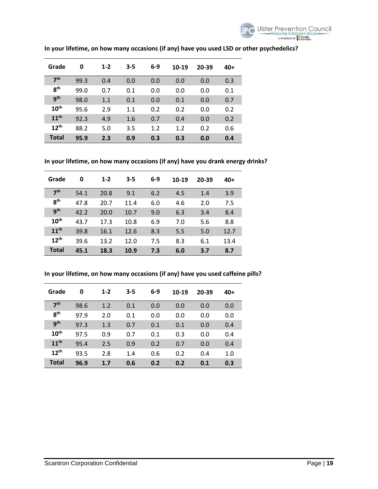

| Grade            | 0    | $1 - 2$ | $3 - 5$ | $6-9$ | 10-19 | 20-39 | 40+ |
|------------------|------|---------|---------|-------|-------|-------|-----|
| 7 <sup>th</sup>  | 99.3 | 0.4     | 0.0     | 0.0   | 0.0   | 0.0   | 0.3 |
| 8 <sup>th</sup>  | 99.0 | 0.7     | 0.1     | 0.0   | 0.0   | 0.0   | 0.1 |
| gth              | 98.0 | 1.1     | 0.1     | 0.0   | 0.1   | 0.0   | 0.7 |
| $10^{\text{th}}$ | 95.6 | 2.9     | 1.1     | 0.2   | 0.2   | 0.0   | 0.2 |
| 11 <sup>th</sup> | 92.3 | 4.9     | 1.6     | 0.7   | 0.4   | 0.0   | 0.2 |
| $12^{th}$        | 88.2 | 5.0     | 3.5     | 1.2   | 1.2   | 0.2   | 0.6 |
| <b>Total</b>     | 95.9 | 2.3     | 0.9     | 0.3   | 0.3   | 0.0   | 0.4 |

## **In your lifetime, on how many occasions (if any) have you used LSD or other psychedelics?**

**In your lifetime, on how many occasions (if any) have you drank energy drinks?** 

| Grade            | 0    | $1 - 2$ | $3 - 5$ | $6-9$ | 10-19 | 20-39 | 40+  |
|------------------|------|---------|---------|-------|-------|-------|------|
| 7 <sup>th</sup>  | 54.1 | 20.8    | 9.1     | 6.2   | 4.5   | 1.4   | 3.9  |
| R <sup>th</sup>  | 47.8 | 20.7    | 11.4    | 6.0   | 4.6   | 2.0   | 7.5  |
| <b>gth</b>       | 42.2 | 20.0    | 10.7    | 9.0   | 6.3   | 3.4   | 8.4  |
| 10 <sup>th</sup> | 43.7 | 17.3    | 10.8    | 6.9   | 7.0   | 5.6   | 8.8  |
| 11 <sup>th</sup> | 39.8 | 16.1    | 12.6    | 8.3   | 5.5   | 5.0   | 12.7 |
| $12^{th}$        | 39.6 | 13.2    | 12.0    | 7.5   | 8.3   | 6.1   | 13.4 |
| <b>Total</b>     | 45.1 | 18.3    | 10.9    | 7.3   | 6.0   | 3.7   | 8.7  |

**In your lifetime, on how many occasions (if any) have you used caffeine pills?** 

| Grade            | 0    | $1 - 2$ | $3 - 5$ | $6-9$ | 10-19 | 20-39 | 40+ |
|------------------|------|---------|---------|-------|-------|-------|-----|
| 7 <sup>th</sup>  | 98.6 | 1.2     | 0.1     | 0.0   | 0.0   | 0.0   | 0.0 |
| 8 <sup>th</sup>  | 97.9 | 2.0     | 0.1     | 0.0   | 0.0   | 0.0   | 0.0 |
| <b>gth</b>       | 97.3 | 1.3     | 0.7     | 0.1   | 0.1   | 0.0   | 0.4 |
| 10 <sup>th</sup> | 97.5 | 0.9     | 0.7     | 0.1   | 0.3   | 0.0   | 0.4 |
| 11 <sup>th</sup> | 95.4 | 2.5     | 0.9     | 0.2   | 0.7   | 0.0   | 0.4 |
| 12 <sup>th</sup> | 93.5 | 2.8     | 1.4     | 0.6   | 0.2   | 0.4   | 1.0 |
| <b>Total</b>     | 96.9 | 1.7     | 0.6     | 0.2   | 0.2   | 0.1   | 0.3 |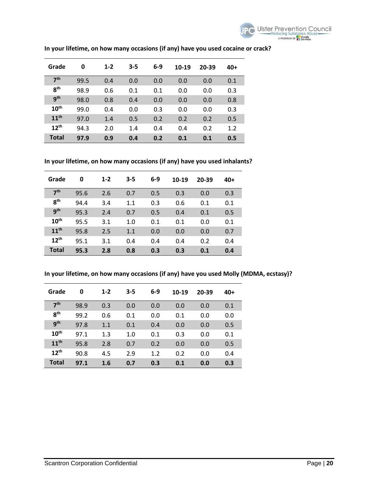

| Grade            | 0    | $1 - 2$ | $3 - 5$ | 6-9 | 10-19 | 20-39 | 40+ |
|------------------|------|---------|---------|-----|-------|-------|-----|
| 7 <sup>th</sup>  | 99.5 | 0.4     | 0.0     | 0.0 | 0.0   | 0.0   | 0.1 |
| <b>gth</b>       | 98.9 | 0.6     | 0.1     | 0.1 | 0.0   | 0.0   | 0.3 |
| <b>gth</b>       | 98.0 | 0.8     | 0.4     | 0.0 | 0.0   | 0.0   | 0.8 |
| 10 <sup>th</sup> | 99.0 | 0.4     | 0.0     | 0.3 | 0.0   | 0.0   | 0.3 |
| 11 <sup>th</sup> | 97.0 | 1.4     | 0.5     | 0.2 | 0.2   | 0.2   | 0.5 |
| 12 <sup>th</sup> | 94.3 | 2.0     | 1.4     | 0.4 | 0.4   | 0.2   | 1.2 |
| <b>Total</b>     | 97.9 | 0.9     | 0.4     | 0.2 | 0.1   | 0.1   | 0.5 |

## **In your lifetime, on how many occasions (if any) have you used cocaine or crack?**

**In your lifetime, on how many occasions (if any) have you used inhalants?** 

| Grade            | 0    | $1 - 2$ | $3 - 5$ | $6-9$ | 10-19 | 20-39 | 40+ |
|------------------|------|---------|---------|-------|-------|-------|-----|
| 7 <sup>th</sup>  | 95.6 | 2.6     | 0.7     | 0.5   | 0.3   | 0.0   | 0.3 |
| <b>gth</b>       | 94.4 | 3.4     | 1.1     | 0.3   | 0.6   | 0.1   | 0.1 |
| <b>gth</b>       | 95.3 | 2.4     | 0.7     | 0.5   | 0.4   | 0.1   | 0.5 |
| 10 <sup>th</sup> | 95.5 | 3.1     | 1.0     | 0.1   | 0.1   | 0.0   | 0.1 |
| 11 <sup>th</sup> | 95.8 | 2.5     | 1.1     | 0.0   | 0.0   | 0.0   | 0.7 |
| 12 <sup>th</sup> | 95.1 | 3.1     | 0.4     | 0.4   | 0.4   | 0.2   | 0.4 |
| <b>Total</b>     | 95.3 | 2.8     | 0.8     | 0.3   | 0.3   | 0.1   | 0.4 |

**In your lifetime, on how many occasions (if any) have you used Molly (MDMA, ecstasy)?** 

| Grade            | 0    | $1 - 2$ | $3 - 5$ | $6-9$ | 10-19 | 20-39 | 40+ |
|------------------|------|---------|---------|-------|-------|-------|-----|
| 7 <sup>th</sup>  | 98.9 | 0.3     | 0.0     | 0.0   | 0.0   | 0.0   | 0.1 |
| R <sup>th</sup>  | 99.2 | 0.6     | 0.1     | 0.0   | 0.1   | 0.0   | 0.0 |
| gth              | 97.8 | 1.1     | 0.1     | 0.4   | 0.0   | 0.0   | 0.5 |
| 10 <sup>th</sup> | 97.1 | 1.3     | 1.0     | 0.1   | 0.3   | 0.0   | 0.1 |
| 11 <sup>th</sup> | 95.8 | 2.8     | 0.7     | 0.2   | 0.0   | 0.0   | 0.5 |
| 12 <sup>th</sup> | 90.8 | 4.5     | 2.9     | 1.2   | 0.2   | 0.0   | 0.4 |
| <b>Total</b>     | 97.1 | 1.6     | 0.7     | 0.3   | 0.1   | 0.0   | 0.3 |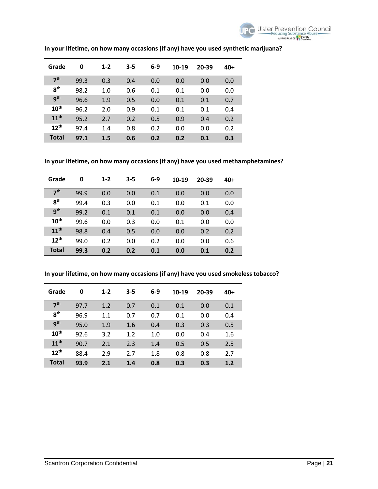

| Grade            | 0    | $1 - 2$ | $3 - 5$ | $6-9$ | 10-19 | 20-39 | 40+ |
|------------------|------|---------|---------|-------|-------|-------|-----|
| 7 <sup>th</sup>  | 99.3 | 0.3     | 0.4     | 0.0   | 0.0   | 0.0   | 0.0 |
| 8 <sup>th</sup>  | 98.2 | 1.0     | 0.6     | 0.1   | 0.1   | 0.0   | 0.0 |
| gth              | 96.6 | 1.9     | 0.5     | 0.0   | 0.1   | 0.1   | 0.7 |
| $10^{\text{th}}$ | 96.2 | 2.0     | 0.9     | 0.1   | 0.1   | 0.1   | 0.4 |
| 11 <sup>th</sup> | 95.2 | 2.7     | 0.2     | 0.5   | 0.9   | 0.4   | 0.2 |
| $12^{th}$        | 97.4 | 1.4     | 0.8     | 0.2   | 0.0   | 0.0   | 0.2 |
| <b>Total</b>     | 97.1 | 1.5     | 0.6     | 0.2   | 0.2   | 0.1   | 0.3 |

## **In your lifetime, on how many occasions (if any) have you used synthetic marijuana?**

**In your lifetime, on how many occasions (if any) have you used methamphetamines?** 

| Grade            | 0    | $1 - 2$ | $3 - 5$ | $6-9$ | 10-19 | 20-39 | 40+ |
|------------------|------|---------|---------|-------|-------|-------|-----|
| 7 <sup>th</sup>  | 99.9 | 0.0     | 0.0     | 0.1   | 0.0   | 0.0   | 0.0 |
| <b>gth</b>       | 99.4 | 0.3     | 0.0     | 0.1   | 0.0   | 0.1   | 0.0 |
| <b>gth</b>       | 99.2 | 0.1     | 0.1     | 0.1   | 0.0   | 0.0   | 0.4 |
| 10 <sup>th</sup> | 99.6 | 0.0     | 0.3     | 0.0   | 0.1   | 0.0   | 0.0 |
| 11 <sup>th</sup> | 98.8 | 0.4     | 0.5     | 0.0   | 0.0   | 0.2   | 0.2 |
| 12 <sup>th</sup> | 99.0 | 0.2     | 0.0     | 0.2   | 0.0   | 0.0   | 0.6 |
| <b>Total</b>     | 99.3 | 0.2     | 0.2     | 0.1   | 0.0   | 0.1   | 0.2 |

**In your lifetime, on how many occasions (if any) have you used smokeless tobacco?** 

| Grade            | 0    | $1 - 2$ | $3 - 5$ | $6-9$ | 10-19 | 20-39 | 40+ |
|------------------|------|---------|---------|-------|-------|-------|-----|
| 7 <sup>th</sup>  | 97.7 | 1.2     | 0.7     | 0.1   | 0.1   | 0.0   | 0.1 |
| 8 <sup>th</sup>  | 96.9 | 1.1     | 0.7     | 0.7   | 0.1   | 0.0   | 0.4 |
| <b>gth</b>       | 95.0 | 1.9     | 1.6     | 0.4   | 0.3   | 0.3   | 0.5 |
| 10 <sup>th</sup> | 92.6 | 3.2     | 1.2     | 1.0   | 0.0   | 0.4   | 1.6 |
| 11 <sup>th</sup> | 90.7 | 2.1     | 2.3     | 1.4   | 0.5   | 0.5   | 2.5 |
| 12 <sup>th</sup> | 88.4 | 2.9     | 2.7     | 1.8   | 0.8   | 0.8   | 2.7 |
| <b>Total</b>     | 93.9 | 2.1     | 1.4     | 0.8   | 0.3   | 0.3   | 1.2 |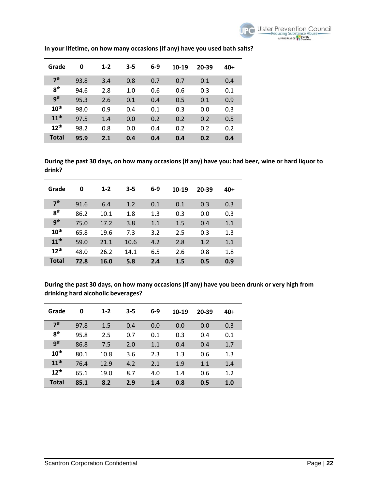

| Grade            | 0    | $1 - 2$ | $3 - 5$ | $6-9$ | 10-19 | 20-39 | 40+ |
|------------------|------|---------|---------|-------|-------|-------|-----|
| 7 <sup>th</sup>  | 93.8 | 3.4     | 0.8     | 0.7   | 0.7   | 0.1   | 0.4 |
| 8 <sup>th</sup>  | 94.6 | 2.8     | 1.0     | 0.6   | 0.6   | 0.3   | 0.1 |
| gth              | 95.3 | 2.6     | 0.1     | 0.4   | 0.5   | 0.1   | 0.9 |
| 10 <sup>th</sup> | 98.0 | 0.9     | 0.4     | 0.1   | 0.3   | 0.0   | 0.3 |
| 11 <sup>th</sup> | 97.5 | 1.4     | 0.0     | 0.2   | 0.2   | 0.2   | 0.5 |
| 12 <sup>th</sup> | 98.2 | 0.8     | 0.0     | 0.4   | 0.2   | 0.2   | 0.2 |
| <b>Total</b>     | 95.9 | 2.1     | 0.4     | 0.4   | 0.4   | 0.2   | 0.4 |

**In your lifetime, on how many occasions (if any) have you used bath salts?** 

**During the past 30 days, on how many occasions (if any) have you: had beer, wine or hard liquor to drink?** 

| Grade            | 0    | $1 - 2$     | $3 - 5$ | $6-9$ | 10-19 | 20-39 | 40+ |
|------------------|------|-------------|---------|-------|-------|-------|-----|
| 7 <sup>th</sup>  | 91.6 | 6.4         | 1.2     | 0.1   | 0.1   | 0.3   | 0.3 |
| 8 <sup>th</sup>  | 86.2 | 10.1        | 1.8     | 1.3   | 0.3   | 0.0   | 0.3 |
| q <sup>th</sup>  | 75.0 | 17.2        | 3.8     | 1.1   | 1.5   | 0.4   | 1.1 |
| $10^{\text{th}}$ | 65.8 | 19.6        | 7.3     | 3.2   | 2.5   | 0.3   | 1.3 |
| 11 <sup>th</sup> | 59.0 | 21.1        | 10.6    | 4.2   | 2.8   | 1.2   | 1.1 |
| $12^{th}$        | 48.0 | 26.2        | 14.1    | 6.5   | 2.6   | 0.8   | 1.8 |
| <b>Total</b>     | 72.8 | <b>16.0</b> | 5.8     | 2.4   | 1.5   | 0.5   | 0.9 |

**During the past 30 days, on how many occasions (if any) have you been drunk or very high from drinking hard alcoholic beverages?** 

| Grade            | 0    | $1 - 2$ | $3 - 5$ | $6-9$ | 10-19 | 20-39 | $40+$ |
|------------------|------|---------|---------|-------|-------|-------|-------|
| 7 <sup>th</sup>  | 97.8 | 1.5     | 0.4     | 0.0   | 0.0   | 0.0   | 0.3   |
| 8 <sup>th</sup>  | 95.8 | 2.5     | 0.7     | 0.1   | 0.3   | 0.4   | 0.1   |
| <b>gth</b>       | 86.8 | 7.5     | 2.0     | 1.1   | 0.4   | 0.4   | 1.7   |
| 10 <sup>th</sup> | 80.1 | 10.8    | 3.6     | 2.3   | 1.3   | 0.6   | 1.3   |
| 11 <sup>th</sup> | 76.4 | 12.9    | 4.2     | 2.1   | 1.9   | 1.1   | 1.4   |
| 12 <sup>th</sup> | 65.1 | 19.0    | 8.7     | 4.0   | 1.4   | 0.6   | 1.2   |
| <b>Total</b>     | 85.1 | 8.2     | 2.9     | 1.4   | 0.8   | 0.5   | 1.0   |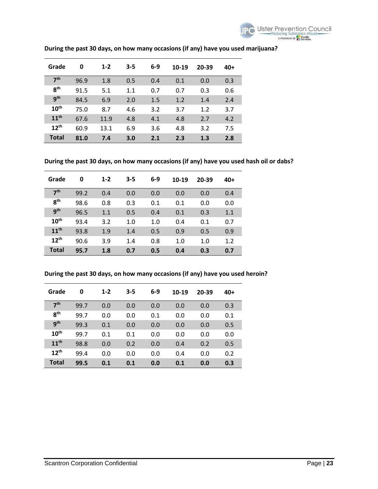

| Grade            | 0    | $1 - 2$ | $3 - 5$ | $6-9$ | 10-19 | 20-39 | 40+ |
|------------------|------|---------|---------|-------|-------|-------|-----|
| 7 <sup>th</sup>  | 96.9 | 1.8     | 0.5     | 0.4   | 0.1   | 0.0   | 0.3 |
| R <sup>th</sup>  | 91.5 | 5.1     | 1.1     | 0.7   | 0.7   | 0.3   | 0.6 |
| gth              | 84.5 | 6.9     | 2.0     | 1.5   | 1.2   | 1.4   | 2.4 |
| 10 <sup>th</sup> | 75.0 | 8.7     | 4.6     | 3.2   | 3.7   | 1.2   | 3.7 |
| 11 <sup>th</sup> | 67.6 | 11.9    | 4.8     | 4.1   | 4.8   | 2.7   | 4.2 |
| $12^{th}$        | 60.9 | 13.1    | 6.9     | 3.6   | 4.8   | 3.2   | 7.5 |
| <b>Total</b>     | 81.0 | 7.4     | 3.0     | 2.1   | 2.3   | 1.3   | 2.8 |

## **During the past 30 days, on how many occasions (if any) have you used marijuana?**

**During the past 30 days, on how many occasions (if any) have you used hash oil or dabs?** 

| Grade            | 0    | $1 - 2$ | $3 - 5$ | $6-9$ | 10-19 | 20-39 | 40+ |
|------------------|------|---------|---------|-------|-------|-------|-----|
| 7 <sup>th</sup>  | 99.2 | 0.4     | 0.0     | 0.0   | 0.0   | 0.0   | 0.4 |
| R <sup>th</sup>  | 98.6 | 0.8     | 0.3     | 0.1   | 0.1   | 0.0   | 0.0 |
| gth              | 96.5 | 1.1     | 0.5     | 0.4   | 0.1   | 0.3   | 1.1 |
| $10^{\text{th}}$ | 93.4 | 3.2     | 1.0     | 1.0   | 0.4   | 0.1   | 0.7 |
| 11 <sup>th</sup> | 93.8 | 1.9     | 1.4     | 0.5   | 0.9   | 0.5   | 0.9 |
| $12^{th}$        | 90.6 | 3.9     | 1.4     | 0.8   | 1.0   | 1.0   | 1.2 |
| <b>Total</b>     | 95.7 | 1.8     | 0.7     | 0.5   | 0.4   | 0.3   | 0.7 |

## **During the past 30 days, on how many occasions (if any) have you used heroin?**

| Grade            | 0    | $1 - 2$ | $3 - 5$ | $6-9$ | 10-19 | 20-39 | 40+ |
|------------------|------|---------|---------|-------|-------|-------|-----|
| 7 <sup>th</sup>  | 99.7 | 0.0     | 0.0     | 0.0   | 0.0   | 0.0   | 0.3 |
| R <sup>th</sup>  | 99.7 | 0.0     | 0.0     | 0.1   | 0.0   | 0.0   | 0.1 |
| <b>gth</b>       | 99.3 | 0.1     | 0.0     | 0.0   | 0.0   | 0.0   | 0.5 |
| 10 <sup>th</sup> | 99.7 | 0.1     | 0.1     | 0.0   | 0.0   | 0.0   | 0.0 |
| 11 <sup>th</sup> | 98.8 | 0.0     | 0.2     | 0.0   | 0.4   | 0.2   | 0.5 |
| 12 <sup>th</sup> | 99.4 | 0.0     | 0.0     | 0.0   | 0.4   | 0.0   | 0.2 |
| <b>Total</b>     | 99.5 | 0.1     | 0.1     | 0.0   | 0.1   | 0.0   | 0.3 |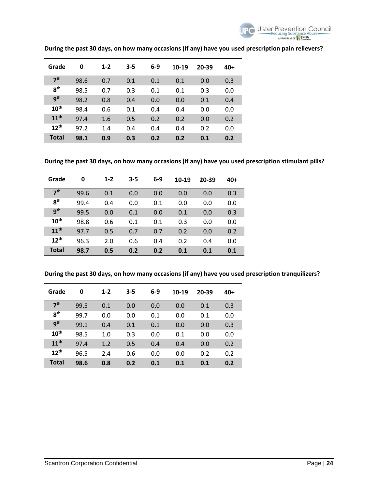

| Grade            | 0    | $1 - 2$ | $3 - 5$ | $6-9$ | 10-19 | 20-39 | 40+ |
|------------------|------|---------|---------|-------|-------|-------|-----|
| 7 <sup>th</sup>  | 98.6 | 0.7     | 0.1     | 0.1   | 0.1   | 0.0   | 0.3 |
| 8 <sup>th</sup>  | 98.5 | 0.7     | 0.3     | 0.1   | 0.1   | 0.3   | 0.0 |
| gth              | 98.2 | 0.8     | 0.4     | 0.0   | 0.0   | 0.1   | 0.4 |
| $10^{\text{th}}$ | 98.4 | 0.6     | 0.1     | 0.4   | 0.4   | 0.0   | 0.0 |
| 11 <sup>th</sup> | 97.4 | 1.6     | 0.5     | 0.2   | 0.2   | 0.0   | 0.2 |
| $12^{th}$        | 97.2 | 1.4     | 0.4     | 0.4   | 0.4   | 0.2   | 0.0 |
| Total            | 98.1 | 0.9     | 0.3     | 0.2   | 0.2   | 0.1   | 0.2 |

## **During the past 30 days, on how many occasions (if any) have you used prescription pain relievers?**

**During the past 30 days, on how many occasions (if any) have you used prescription stimulant pills?** 

| Grade            | 0    | $1 - 2$ | $3 - 5$ | $6-9$ | 10-19 | 20-39 | $40+$ |
|------------------|------|---------|---------|-------|-------|-------|-------|
| 7 <sup>th</sup>  | 99.6 | 0.1     | 0.0     | 0.0   | 0.0   | 0.0   | 0.3   |
| 8 <sup>th</sup>  | 99.4 | 0.4     | 0.0     | 0.1   | 0.0   | 0.0   | 0.0   |
| <b>gth</b>       | 99.5 | 0.0     | 0.1     | 0.0   | 0.1   | 0.0   | 0.3   |
| 10 <sup>th</sup> | 98.8 | 0.6     | 0.1     | 0.1   | 0.3   | 0.0   | 0.0   |
| 11 <sup>th</sup> | 97.7 | 0.5     | 0.7     | 0.7   | 0.2   | 0.0   | 0.2   |
| $12^{th}$        | 96.3 | 2.0     | 0.6     | 0.4   | 0.2   | 0.4   | 0.0   |
| <b>Total</b>     | 98.7 | 0.5     | 0.2     | 0.2   | 0.1   | 0.1   | 0.1   |

**During the past 30 days, on how many occasions (if any) have you used prescription tranquilizers?** 

| Grade            | 0    | $1 - 2$ | $3 - 5$ | $6-9$ | $10-19$ | 20-39 | 40+ |
|------------------|------|---------|---------|-------|---------|-------|-----|
| 7 <sup>th</sup>  | 99.5 | 0.1     | 0.0     | 0.0   | 0.0     | 0.1   | 0.3 |
| <b>gth</b>       | 99.7 | 0.0     | 0.0     | 0.1   | 0.0     | 0.1   | 0.0 |
| <b>gth</b>       | 99.1 | 0.4     | 0.1     | 0.1   | 0.0     | 0.0   | 0.3 |
| 10 <sup>th</sup> | 98.5 | 1.0     | 0.3     | 0.0   | 0.1     | 0.0   | 0.0 |
| 11 <sup>th</sup> | 97.4 | 1.2     | 0.5     | 0.4   | 0.4     | 0.0   | 0.2 |
| $12^{th}$        | 96.5 | 2.4     | 0.6     | 0.0   | 0.0     | 0.2   | 0.2 |
| <b>Total</b>     | 98.6 | 0.8     | 0.2     | 0.1   | 0.1     | 0.1   | 0.2 |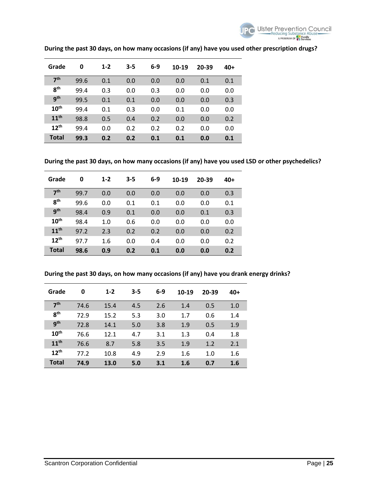

| Grade            | 0    | $1 - 2$ | $3 - 5$ | $6-9$ | 10-19 | 20-39 | 40+ |
|------------------|------|---------|---------|-------|-------|-------|-----|
| 7 <sup>th</sup>  | 99.6 | 0.1     | 0.0     | 0.0   | 0.0   | 0.1   | 0.1 |
| 8 <sup>th</sup>  | 99.4 | 0.3     | 0.0     | 0.3   | 0.0   | 0.0   | 0.0 |
| gth              | 99.5 | 0.1     | 0.1     | 0.0   | 0.0   | 0.0   | 0.3 |
| $10^{\text{th}}$ | 99.4 | 0.1     | 0.3     | 0.0   | 0.1   | 0.0   | 0.0 |
| 11 <sup>th</sup> | 98.8 | 0.5     | 0.4     | 0.2   | 0.0   | 0.0   | 0.2 |
| 12 <sup>th</sup> | 99.4 | 0.0     | 0.2     | 0.2   | 0.2   | 0.0   | 0.0 |
| <b>Total</b>     | 99.3 | 0.2     | 0.2     | 0.1   | 0.1   | 0.0   | 0.1 |

## **During the past 30 days, on how many occasions (if any) have you used other prescription drugs?**

**During the past 30 days, on how many occasions (if any) have you used LSD or other psychedelics?** 

| Grade            | 0    | $1 - 2$ | $3 - 5$ | $6-9$ | 10-19 | 20-39 | 40+ |
|------------------|------|---------|---------|-------|-------|-------|-----|
| 7 <sup>th</sup>  | 99.7 | 0.0     | 0.0     | 0.0   | 0.0   | 0.0   | 0.3 |
| <b>gth</b>       | 99.6 | 0.0     | 0.1     | 0.1   | 0.0   | 0.0   | 0.1 |
| <b>gth</b>       | 98.4 | 0.9     | 0.1     | 0.0   | 0.0   | 0.1   | 0.3 |
| $10^{\text{th}}$ | 98.4 | 1.0     | 0.6     | 0.0   | 0.0   | 0.0   | 0.0 |
| 11 <sup>th</sup> | 97.2 | 2.3     | 0.2     | 0.2   | 0.0   | 0.0   | 0.2 |
| $12^{\text{th}}$ | 97.7 | 1.6     | 0.0     | 0.4   | 0.0   | 0.0   | 0.2 |
| <b>Total</b>     | 98.6 | 0.9     | 0.2     | 0.1   | 0.0   | 0.0   | 0.2 |

**During the past 30 days, on how many occasions (if any) have you drank energy drinks?** 

| Grade            | 0    | $1 - 2$ | $3 - 5$ | $6-9$ | 10-19 | 20-39 | $40+$ |
|------------------|------|---------|---------|-------|-------|-------|-------|
| 7 <sup>th</sup>  | 74.6 | 15.4    | 4.5     | 2.6   | 1.4   | 0.5   | 1.0   |
| 8 <sup>th</sup>  | 72.9 | 15.2    | 5.3     | 3.0   | 1.7   | 0.6   | 1.4   |
| <b>gth</b>       | 72.8 | 14.1    | 5.0     | 3.8   | 1.9   | 0.5   | 1.9   |
| 10 <sup>th</sup> | 76.6 | 12.1    | 4.7     | 3.1   | 1.3   | 0.4   | 1.8   |
| 11 <sup>th</sup> | 76.6 | 8.7     | 5.8     | 3.5   | 1.9   | 1.2   | 2.1   |
| $12^{th}$        | 77.2 | 10.8    | 4.9     | 2.9   | 1.6   | 1.0   | 1.6   |
| <b>Total</b>     | 74.9 | 13.0    | 5.0     | 3.1   | 1.6   | 0.7   | 1.6   |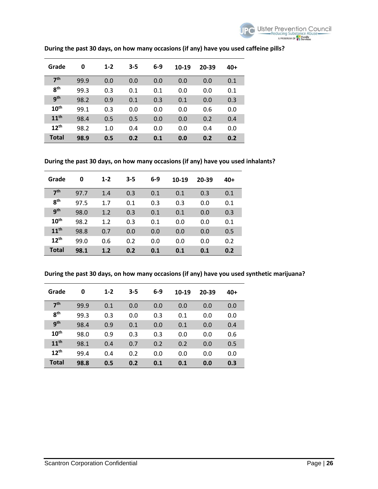

| Grade            | 0    | $1 - 2$ | $3 - 5$ | $6-9$ | 10-19 | 20-39 | $40+$ |
|------------------|------|---------|---------|-------|-------|-------|-------|
| 7 <sup>th</sup>  | 99.9 | 0.0     | 0.0     | 0.0   | 0.0   | 0.0   | 0.1   |
| 8 <sup>th</sup>  | 99.3 | 0.3     | 0.1     | 0.1   | 0.0   | 0.0   | 0.1   |
| gth              | 98.2 | 0.9     | 0.1     | 0.3   | 0.1   | 0.0   | 0.3   |
| 10 <sup>th</sup> | 99.1 | 0.3     | 0.0     | 0.0   | 0.0   | 0.6   | 0.0   |
| 11 <sup>th</sup> | 98.4 | 0.5     | 0.5     | 0.0   | 0.0   | 0.2   | 0.4   |
| 12 <sup>th</sup> | 98.2 | 1.0     | 0.4     | 0.0   | 0.0   | 0.4   | 0.0   |
| Total            | 98.9 | 0.5     | 0.2     | 0.1   | 0.0   | 0.2   | 0.2   |

## **During the past 30 days, on how many occasions (if any) have you used caffeine pills?**

**During the past 30 days, on how many occasions (if any) have you used inhalants?** 

| Grade            | 0    | $1 - 2$ | $3 - 5$ | $6-9$ | 10-19 | 20-39 | 40+ |
|------------------|------|---------|---------|-------|-------|-------|-----|
| 7 <sup>th</sup>  | 97.7 | 1.4     | 0.3     | 0.1   | 0.1   | 0.3   | 0.1 |
| 8 <sup>th</sup>  | 97.5 | 1.7     | 0.1     | 0.3   | 0.3   | 0.0   | 0.1 |
| <b>gth</b>       | 98.0 | 1.2     | 0.3     | 0.1   | 0.1   | 0.0   | 0.3 |
| 10 <sup>th</sup> | 98.2 | 1.2     | 0.3     | 0.1   | 0.0   | 0.0   | 0.1 |
| 11 <sup>th</sup> | 98.8 | 0.7     | 0.0     | 0.0   | 0.0   | 0.0   | 0.5 |
| 12 <sup>th</sup> | 99.0 | 0.6     | 0.2     | 0.0   | 0.0   | 0.0   | 0.2 |
| <b>Total</b>     | 98.1 | 1.2     | 0.2     | 0.1   | 0.1   | 0.1   | 0.2 |

**During the past 30 days, on how many occasions (if any) have you used synthetic marijuana?** 

| Grade            | 0    | $1 - 2$ | $3 - 5$ | $6-9$ | 10-19 | 20-39 | 40+ |
|------------------|------|---------|---------|-------|-------|-------|-----|
| 7 <sup>th</sup>  | 99.9 | 0.1     | 0.0     | 0.0   | 0.0   | 0.0   | 0.0 |
| 8 <sup>th</sup>  | 99.3 | 0.3     | 0.0     | 0.3   | 0.1   | 0.0   | 0.0 |
| gth              | 98.4 | 0.9     | 0.1     | 0.0   | 0.1   | 0.0   | 0.4 |
| 10 <sup>th</sup> | 98.0 | 0.9     | 0.3     | 0.3   | 0.0   | 0.0   | 0.6 |
| 11 <sup>th</sup> | 98.1 | 0.4     | 0.7     | 0.2   | 0.2   | 0.0   | 0.5 |
| 12 <sup>th</sup> | 99.4 | 0.4     | 0.2     | 0.0   | 0.0   | 0.0   | 0.0 |
| <b>Total</b>     | 98.8 | 0.5     | 0.2     | 0.1   | 0.1   | 0.0   | 0.3 |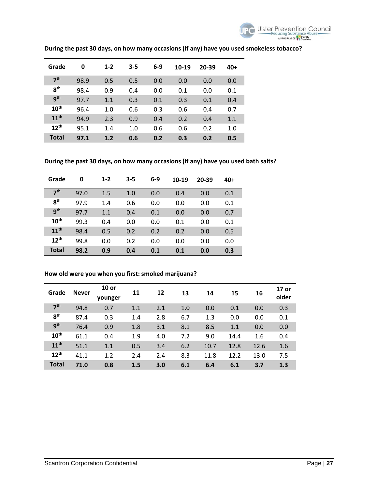

| Grade            | 0    | $1 - 2$ | $3 - 5$ | $6-9$ | 10-19 | 20-39 | 40+ |
|------------------|------|---------|---------|-------|-------|-------|-----|
| 7 <sup>th</sup>  | 98.9 | 0.5     | 0.5     | 0.0   | 0.0   | 0.0   | 0.0 |
| <b>gth</b>       | 98.4 | 0.9     | 0.4     | 0.0   | 0.1   | 0.0   | 0.1 |
| gth              | 97.7 | 1.1     | 0.3     | 0.1   | 0.3   | 0.1   | 0.4 |
| 10 <sup>th</sup> | 96.4 | 1.0     | 0.6     | 0.3   | 0.6   | 0.4   | 0.7 |
| 11 <sup>th</sup> | 94.9 | 2.3     | 0.9     | 0.4   | 0.2   | 0.4   | 1.1 |
| 12 <sup>th</sup> | 95.1 | 1.4     | 1.0     | 0.6   | 0.6   | 0.2   | 1.0 |
| <b>Total</b>     | 97.1 | 1.2     | 0.6     | 0.2   | 0.3   | 0.2   | 0.5 |

## **During the past 30 days, on how many occasions (if any) have you used smokeless tobacco?**

**During the past 30 days, on how many occasions (if any) have you used bath salts?** 

| Grade            | 0    | $1 - 2$ | $3 - 5$ | $6-9$ | 10-19 | 20-39 | 40+ |
|------------------|------|---------|---------|-------|-------|-------|-----|
| 7 <sup>th</sup>  | 97.0 | 1.5     | 1.0     | 0.0   | 0.4   | 0.0   | 0.1 |
| R <sup>th</sup>  | 97.9 | 1.4     | 0.6     | 0.0   | 0.0   | 0.0   | 0.1 |
| <b>gth</b>       | 97.7 | 1.1     | 0.4     | 0.1   | 0.0   | 0.0   | 0.7 |
| $10^{\text{th}}$ | 99.3 | 0.4     | 0.0     | 0.0   | 0.1   | 0.0   | 0.1 |
| 11 <sup>th</sup> | 98.4 | 0.5     | 0.2     | 0.2   | 0.2   | 0.0   | 0.5 |
| $12^{th}$        | 99.8 | 0.0     | 0.2     | 0.0   | 0.0   | 0.0   | 0.0 |
| <b>Total</b>     | 98.2 | 0.9     | 0.4     | 0.1   | 0.1   | 0.0   | 0.3 |

#### **How old were you when you first: smoked marijuana?**

| Grade            | <b>Never</b> | $10$ or<br>younger | 11  | 12  | 13  | 14   | 15   | 16   | 17 or<br>older |
|------------------|--------------|--------------------|-----|-----|-----|------|------|------|----------------|
| 7 <sup>th</sup>  | 94.8         | 0.7                | 1.1 | 2.1 | 1.0 | 0.0  | 0.1  | 0.0  | 0.3            |
| 8 <sup>th</sup>  | 87.4         | 0.3                | 1.4 | 2.8 | 6.7 | 1.3  | 0.0  | 0.0  | 0.1            |
| 9 <sup>th</sup>  | 76.4         | 0.9                | 1.8 | 3.1 | 8.1 | 8.5  | 1.1  | 0.0  | 0.0            |
| 10 <sup>th</sup> | 61.1         | 0.4                | 1.9 | 4.0 | 7.2 | 9.0  | 14.4 | 1.6  | 0.4            |
| 11 <sup>th</sup> | 51.1         | 1.1                | 0.5 | 3.4 | 6.2 | 10.7 | 12.8 | 12.6 | 1.6            |
| $12^{th}$        | 41.1         | 1.2                | 2.4 | 2.4 | 8.3 | 11.8 | 12.2 | 13.0 | 7.5            |
| <b>Total</b>     | 71.0         | 0.8                | 1.5 | 3.0 | 6.1 | 6.4  | 6.1  | 3.7  | 1.3            |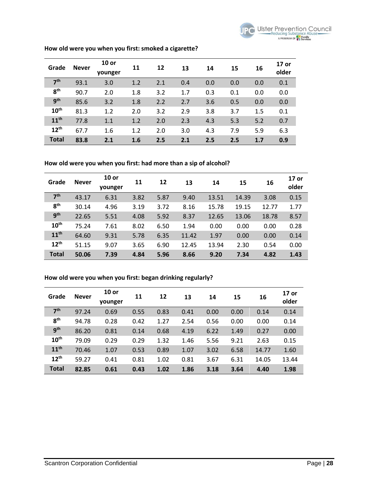| Grade            | <b>Never</b> | $10$ or<br>younger | 11  | 12  | 13  | 14  | 15  | 16  | 17 or<br>older |
|------------------|--------------|--------------------|-----|-----|-----|-----|-----|-----|----------------|
| 7 <sup>th</sup>  | 93.1         | 3.0                | 1.2 | 2.1 | 0.4 | 0.0 | 0.0 | 0.0 | 0.1            |
| 8 <sup>th</sup>  | 90.7         | 2.0                | 1.8 | 3.2 | 1.7 | 0.3 | 0.1 | 0.0 | 0.0            |
| 9 <sup>th</sup>  | 85.6         | 3.2                | 1.8 | 2.2 | 2.7 | 3.6 | 0.5 | 0.0 | 0.0            |
| 10 <sup>th</sup> | 81.3         | 1.2                | 2.0 | 3.2 | 2.9 | 3.8 | 3.7 | 1.5 | 0.1            |
| 11 <sup>th</sup> | 77.8         | 1.1                | 1.2 | 2.0 | 2.3 | 4.3 | 5.3 | 5.2 | 0.7            |
| $12^{th}$        | 67.7         | 1.6                | 1.2 | 2.0 | 3.0 | 4.3 | 7.9 | 5.9 | 6.3            |
| <b>Total</b>     | 83.8         | 2.1                | 1.6 | 2.5 | 2.1 | 2.5 | 2.5 | 1.7 | 0.9            |

#### **How old were you when you first: smoked a cigarette?**

#### **How old were you when you first: had more than a sip of alcohol?**

| Grade            | <b>Never</b> | $10$ or<br>younger | 11   | 12   | 13    | 14    | 15    | 16    | 17 or<br>older |
|------------------|--------------|--------------------|------|------|-------|-------|-------|-------|----------------|
| 7 <sup>th</sup>  | 43.17        | 6.31               | 3.82 | 5.87 | 9.40  | 13.51 | 14.39 | 3.08  | 0.15           |
| 8 <sup>th</sup>  | 30.14        | 4.96               | 3.19 | 3.72 | 8.16  | 15.78 | 19.15 | 12.77 | 1.77           |
| 9 <sup>th</sup>  | 22.65        | 5.51               | 4.08 | 5.92 | 8.37  | 12.65 | 13.06 | 18.78 | 8.57           |
| 10 <sup>th</sup> | 75.24        | 7.61               | 8.02 | 6.50 | 1.94  | 0.00  | 0.00  | 0.00  | 0.28           |
| 11 <sup>th</sup> | 64.60        | 9.31               | 5.78 | 6.35 | 11.42 | 1.97  | 0.00  | 0.00  | 0.14           |
| 12 <sup>th</sup> | 51.15        | 9.07               | 3.65 | 6.90 | 12.45 | 13.94 | 2.30  | 0.54  | 0.00           |
| <b>Total</b>     | 50.06        | 7.39               | 4.84 | 5.96 | 8.66  | 9.20  | 7.34  | 4.82  | 1.43           |

#### **How old were you when you first: began drinking regularly?**

| Grade            | <b>Never</b> | $10$ or<br>younger | 11   | 12   | 13   | 14   | 15   | 16    | 17 or<br>older |
|------------------|--------------|--------------------|------|------|------|------|------|-------|----------------|
| 7 <sup>th</sup>  | 97.24        | 0.69               | 0.55 | 0.83 | 0.41 | 0.00 | 0.00 | 0.14  | 0.14           |
| 8 <sup>th</sup>  | 94.78        | 0.28               | 0.42 | 1.27 | 2.54 | 0.56 | 0.00 | 0.00  | 0.14           |
| <b>gth</b>       | 86.20        | 0.81               | 0.14 | 0.68 | 4.19 | 6.22 | 1.49 | 0.27  | 0.00           |
| $10^{\text{th}}$ | 79.09        | 0.29               | 0.29 | 1.32 | 1.46 | 5.56 | 9.21 | 2.63  | 0.15           |
| 11 <sup>th</sup> | 70.46        | 1.07               | 0.53 | 0.89 | 1.07 | 3.02 | 6.58 | 14.77 | 1.60           |
| $12^{th}$        | 59.27        | 0.41               | 0.81 | 1.02 | 0.81 | 3.67 | 6.31 | 14.05 | 13.44          |
| <b>Total</b>     | 82.85        | 0.61               | 0.43 | 1.02 | 1.86 | 3.18 | 3.64 | 4.40  | 1.98           |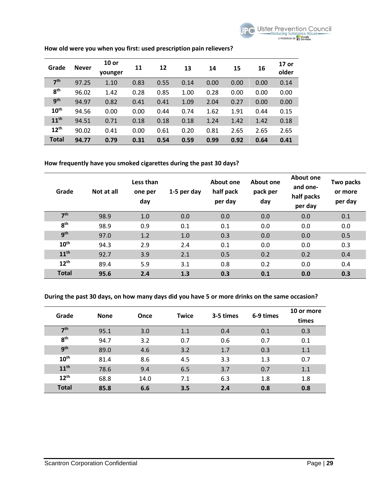

| Grade            | <b>Never</b> | $10$ or<br>younger | 11   | 12   | 13   | 14   | 15   | 16   | 17 or<br>older |
|------------------|--------------|--------------------|------|------|------|------|------|------|----------------|
| 7 <sup>th</sup>  | 97.25        | 1.10               | 0.83 | 0.55 | 0.14 | 0.00 | 0.00 | 0.00 | 0.14           |
| 8 <sup>th</sup>  | 96.02        | 1.42               | 0.28 | 0.85 | 1.00 | 0.28 | 0.00 | 0.00 | 0.00           |
| <b>gth</b>       | 94.97        | 0.82               | 0.41 | 0.41 | 1.09 | 2.04 | 0.27 | 0.00 | 0.00           |
| 10 <sup>th</sup> | 94.56        | 0.00               | 0.00 | 0.44 | 0.74 | 1.62 | 1.91 | 0.44 | 0.15           |
| 11 <sup>th</sup> | 94.51        | 0.71               | 0.18 | 0.18 | 0.18 | 1.24 | 1.42 | 1.42 | 0.18           |
| $12^{th}$        | 90.02        | 0.41               | 0.00 | 0.61 | 0.20 | 0.81 | 2.65 | 2.65 | 2.65           |
| <b>Total</b>     | 94.77        | 0.79               | 0.31 | 0.54 | 0.59 | 0.99 | 0.92 | 0.64 | 0.41           |

## **How old were you when you first: used prescription pain relievers?**

#### **How frequently have you smoked cigarettes during the past 30 days?**

| Grade            | Not at all | Less than<br>one per<br>day | 1-5 per day | About one<br>half pack<br>per day | About one<br>pack per<br>day | About one<br>and one-<br>half packs<br>per day | Two packs<br>or more<br>per day |
|------------------|------------|-----------------------------|-------------|-----------------------------------|------------------------------|------------------------------------------------|---------------------------------|
| 7 <sup>th</sup>  | 98.9       | 1.0                         | 0.0         | 0.0                               | 0.0                          | 0.0                                            | 0.1                             |
| 8 <sup>th</sup>  | 98.9       | 0.9                         | 0.1         | 0.1                               | 0.0                          | 0.0                                            | 0.0                             |
| <b>gth</b>       | 97.0       | 1.2                         | 1.0         | 0.3                               | 0.0                          | 0.0                                            | 0.5                             |
| 10 <sup>th</sup> | 94.3       | 2.9                         | 2.4         | 0.1                               | 0.0                          | 0.0                                            | 0.3                             |
| 11 <sup>th</sup> | 92.7       | 3.9                         | 2.1         | 0.5                               | 0.2                          | 0.2                                            | 0.4                             |
| $12^{th}$        | 89.4       | 5.9                         | 3.1         | 0.8                               | 0.2                          | 0.0                                            | 0.4                             |
| <b>Total</b>     | 95.6       | 2.4                         | 1.3         | 0.3                               | 0.1                          | 0.0                                            | 0.3                             |

## **During the past 30 days, on how many days did you have 5 or more drinks on the same occasion?**

| Grade            | <b>None</b> | Once | <b>Twice</b> | 3-5 times | 6-9 times | 10 or more<br>times |
|------------------|-------------|------|--------------|-----------|-----------|---------------------|
| 7 <sup>th</sup>  | 95.1        | 3.0  | 1.1          | 0.4       | 0.1       | 0.3                 |
| 8 <sup>th</sup>  | 94.7        | 3.2  | 0.7          | 0.6       | 0.7       | 0.1                 |
| g <sub>th</sub>  | 89.0        | 4.6  | 3.2          | 1.7       | 0.3       | 1.1                 |
| 10 <sup>th</sup> | 81.4        | 8.6  | 4.5          | 3.3       | 1.3       | 0.7                 |
| 11 <sup>th</sup> | 78.6        | 9.4  | 6.5          | 3.7       | 0.7       | 1.1                 |
| $12^{th}$        | 68.8        | 14.0 | 7.1          | 6.3       | 1.8       | 1.8                 |
| <b>Total</b>     | 85.8        | 6.6  | 3.5          | 2.4       | 0.8       | 0.8                 |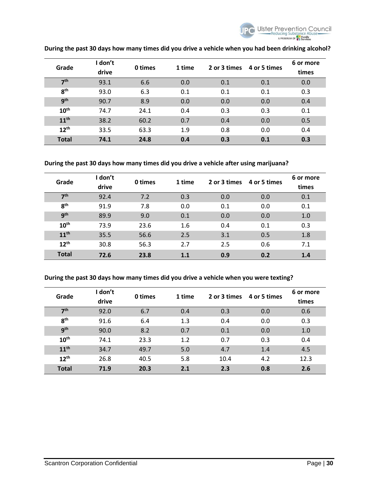

| Grade            | I don't<br>drive | 0 times | 1 time | 2 or 3 times | 4 or 5 times | 6 or more<br>times |
|------------------|------------------|---------|--------|--------------|--------------|--------------------|
| 7 <sup>th</sup>  | 93.1             | 6.6     | 0.0    | 0.1          | 0.1          | 0.0                |
| 8 <sup>th</sup>  | 93.0             | 6.3     | 0.1    | 0.1          | 0.1          | 0.3                |
| <b>gth</b>       | 90.7             | 8.9     | 0.0    | 0.0          | 0.0          | 0.4                |
| 10 <sup>th</sup> | 74.7             | 24.1    | 0.4    | 0.3          | 0.3          | 0.1                |
| 11 <sup>th</sup> | 38.2             | 60.2    | 0.7    | 0.4          | 0.0          | 0.5                |
| $12^{th}$        | 33.5             | 63.3    | 1.9    | 0.8          | 0.0          | 0.4                |
| <b>Total</b>     | 74.1             | 24.8    | 0.4    | 0.3          | 0.1          | 0.3                |

## **During the past 30 days how many times did you drive a vehicle when you had been drinking alcohol?**

#### **During the past 30 days how many times did you drive a vehicle after using marijuana?**

| Grade            | I don't<br>drive | 0 times | 1 time | 2 or 3 times | 4 or 5 times | 6 or more<br>times |
|------------------|------------------|---------|--------|--------------|--------------|--------------------|
| 7 <sup>th</sup>  | 92.4             | 7.2     | 0.3    | 0.0          | 0.0          | 0.1                |
| 8 <sup>th</sup>  | 91.9             | 7.8     | 0.0    | 0.1          | 0.0          | 0.1                |
| q <sup>th</sup>  | 89.9             | 9.0     | 0.1    | 0.0          | 0.0          | 1.0                |
| 10 <sup>th</sup> | 73.9             | 23.6    | 1.6    | 0.4          | 0.1          | 0.3                |
| 11 <sup>th</sup> | 35.5             | 56.6    | 2.5    | 3.1          | 0.5          | 1.8                |
| 12 <sup>th</sup> | 30.8             | 56.3    | 2.7    | 2.5          | 0.6          | 7.1                |
| <b>Total</b>     | 72.6             | 23.8    | 1.1    | 0.9          | 0.2          | 1.4                |

#### **During the past 30 days how many times did you drive a vehicle when you were texting?**

| Grade            | I don't<br>drive | 0 times | 1 time | 2 or 3 times | 4 or 5 times | 6 or more<br>times |
|------------------|------------------|---------|--------|--------------|--------------|--------------------|
| 7 <sup>th</sup>  | 92.0             | 6.7     | 0.4    | 0.3          | 0.0          | 0.6                |
| 8 <sup>th</sup>  | 91.6             | 6.4     | 1.3    | 0.4          | 0.0          | 0.3                |
| <b>gth</b>       | 90.0             | 8.2     | 0.7    | 0.1          | 0.0          | 1.0                |
| 10 <sup>th</sup> | 74.1             | 23.3    | 1.2    | 0.7          | 0.3          | 0.4                |
| 11 <sup>th</sup> | 34.7             | 49.7    | 5.0    | 4.7          | 1.4          | 4.5                |
| 12 <sup>th</sup> | 26.8             | 40.5    | 5.8    | 10.4         | 4.2          | 12.3               |
| <b>Total</b>     | 71.9             | 20.3    | 2.1    | 2.3          | 0.8          | 2.6                |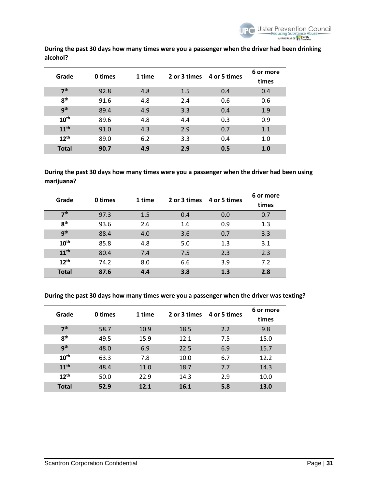

| Grade            | 0 times | 1 time | 2 or 3 times 4 or 5 times |     | 6 or more<br>times |
|------------------|---------|--------|---------------------------|-----|--------------------|
| 7 <sup>th</sup>  | 92.8    | 4.8    | 1.5                       | 0.4 | 0.4                |
| 8 <sup>th</sup>  | 91.6    | 4.8    | 2.4                       | 0.6 | 0.6                |
| 9 <sup>th</sup>  | 89.4    | 4.9    | 3.3                       | 0.4 | 1.9                |
| 10 <sup>th</sup> | 89.6    | 4.8    | 4.4                       | 0.3 | 0.9                |
| 11 <sup>th</sup> | 91.0    | 4.3    | 2.9                       | 0.7 | 1.1                |
| 12 <sup>th</sup> | 89.0    | 6.2    | 3.3                       | 0.4 | 1.0                |
| <b>Total</b>     | 90.7    | 4.9    | 2.9                       | 0.5 | 1.0                |

**During the past 30 days how many times were you a passenger when the driver had been drinking alcohol?** 

**During the past 30 days how many times were you a passenger when the driver had been using marijuana?** 

| Grade            | 0 times | 1 time |     | 2 or 3 times 4 or 5 times | 6 or more |
|------------------|---------|--------|-----|---------------------------|-----------|
|                  |         |        |     |                           | times     |
| 7 <sup>th</sup>  | 97.3    | 1.5    | 0.4 | 0.0                       | 0.7       |
| 8 <sup>th</sup>  | 93.6    | 2.6    | 1.6 | 0.9                       | 1.3       |
| g <sub>th</sub>  | 88.4    | 4.0    | 3.6 | 0.7                       | 3.3       |
| 10 <sup>th</sup> | 85.8    | 4.8    | 5.0 | 1.3                       | 3.1       |
| 11 <sup>th</sup> | 80.4    | 7.4    | 7.5 | 2.3                       | 2.3       |
| $12^{th}$        | 74.2    | 8.0    | 6.6 | 3.9                       | 7.2       |
| <b>Total</b>     | 87.6    | 4.4    | 3.8 | 1.3                       | 2.8       |

**During the past 30 days how many times were you a passenger when the driver was texting?** 

| Grade            | 0 times | 1 time | 2 or 3 times | 4 or 5 times | 6 or more |
|------------------|---------|--------|--------------|--------------|-----------|
|                  |         |        |              |              | times     |
| 7 <sup>th</sup>  | 58.7    | 10.9   | 18.5         | 2.2          | 9.8       |
| 8 <sup>th</sup>  | 49.5    | 15.9   | 12.1         | 7.5          | 15.0      |
| 9 <sup>th</sup>  | 48.0    | 6.9    | 22.5         | 6.9          | 15.7      |
| 10 <sup>th</sup> | 63.3    | 7.8    | 10.0         | 6.7          | 12.2      |
| 11 <sup>th</sup> | 48.4    | 11.0   | 18.7         | 7.7          | 14.3      |
| 12 <sup>th</sup> | 50.0    | 22.9   | 14.3         | 2.9          | 10.0      |
| <b>Total</b>     | 52.9    | 12.1   | 16.1         | 5.8          | 13.0      |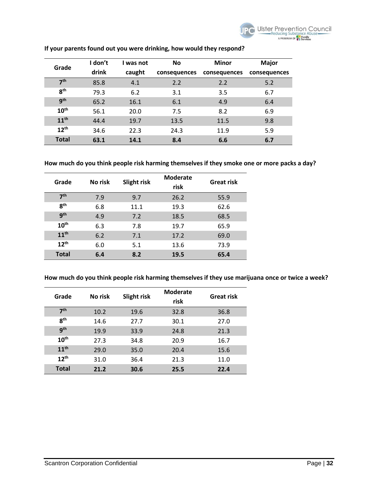| Grade            | I don't | I was not | <b>No</b>    | <b>Minor</b> | <b>Major</b> |
|------------------|---------|-----------|--------------|--------------|--------------|
|                  | drink   | caught    | consequences | consequences | consequences |
| 7 <sup>th</sup>  | 85.8    | 4.1       | 2.2          | 2.2          | 5.2          |
| 8 <sup>th</sup>  | 79.3    | 6.2       | 3.1          | 3.5          | 6.7          |
| <b>gth</b>       | 65.2    | 16.1      | 6.1          | 4.9          | 6.4          |
| 10 <sup>th</sup> | 56.1    | 20.0      | 7.5          | 8.2          | 6.9          |
| 11 <sup>th</sup> | 44.4    | 19.7      | 13.5         | 11.5         | 9.8          |
| $12^{th}$        | 34.6    | 22.3      | 24.3         | 11.9         | 5.9          |
| <b>Total</b>     | 63.1    | 14.1      | 8.4          | 6.6          | 6.7          |

## **If your parents found out you were drinking, how would they respond?**

#### **How much do you think people risk harming themselves if they smoke one or more packs a day?**

| Grade            | No risk | Slight risk | <b>Moderate</b><br>risk | <b>Great risk</b> |
|------------------|---------|-------------|-------------------------|-------------------|
| 7 <sup>th</sup>  | 7.9     | 9.7         | 26.2                    | 55.9              |
| 8 <sup>th</sup>  | 6.8     | 11.1        | 19.3                    | 62.6              |
| 9 <sup>th</sup>  | 4.9     | 7.2         | 18.5                    | 68.5              |
| 10 <sup>th</sup> | 6.3     | 7.8         | 19.7                    | 65.9              |
| 11 <sup>th</sup> | 6.2     | 7.1         | 17.2                    | 69.0              |
| $12^{th}$        | 6.0     | 5.1         | 13.6                    | 73.9              |
| <b>Total</b>     | 6.4     | 8.2         | 19.5                    | 65.4              |

**How much do you think people risk harming themselves if they use marijuana once or twice a week?**

| Grade            | No risk | Slight risk | <b>Moderate</b><br>risk | <b>Great risk</b> |
|------------------|---------|-------------|-------------------------|-------------------|
| 7 <sup>th</sup>  | 10.2    | 19.6        | 32.8                    | 36.8              |
| 8 <sup>th</sup>  | 14.6    | 27.7        | 30.1                    | 27.0              |
| <b>gth</b>       | 19.9    | 33.9        | 24.8                    | 21.3              |
| 10 <sup>th</sup> | 27.3    | 34.8        | 20.9                    | 16.7              |
| 11 <sup>th</sup> | 29.0    | 35.0        | 20.4                    | 15.6              |
| 12 <sup>th</sup> | 31.0    | 36.4        | 21.3                    | 11.0              |
| <b>Total</b>     | 21.2    | 30.6        | 25.5                    | 22.4              |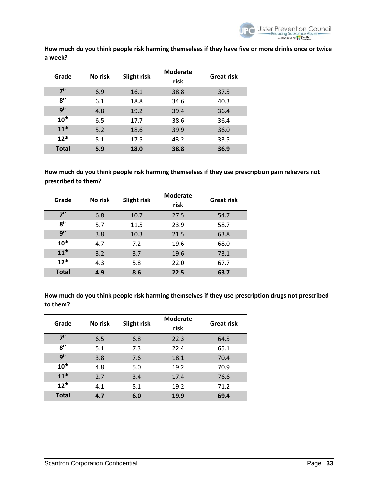

**How much do you think people risk harming themselves if they have five or more drinks once or twice a week?**

| Grade            | No risk | Slight risk | <b>Moderate</b><br>risk | <b>Great risk</b> |
|------------------|---------|-------------|-------------------------|-------------------|
| 7 <sup>th</sup>  | 6.9     | 16.1        | 38.8                    | 37.5              |
| 8 <sup>th</sup>  | 6.1     | 18.8        | 34.6                    | 40.3              |
| q <sup>th</sup>  | 4.8     | 19.2        | 39.4                    | 36.4              |
| 10 <sup>th</sup> | 6.5     | 17.7        | 38.6                    | 36.4              |
| 11 <sup>th</sup> | 5.2     | 18.6        | 39.9                    | 36.0              |
| $12^{th}$        | 5.1     | 17.5        | 43.2                    | 33.5              |
| <b>Total</b>     | 5.9     | 18.0        | 38.8                    | 36.9              |

**How much do you think people risk harming themselves if they use prescription pain relievers not prescribed to them?**

| Grade            | No risk | Slight risk | <b>Moderate</b><br>risk | <b>Great risk</b> |
|------------------|---------|-------------|-------------------------|-------------------|
| 7 <sup>th</sup>  | 6.8     | 10.7        | 27.5                    | 54.7              |
| 8 <sup>th</sup>  | 5.7     | 11.5        | 23.9                    | 58.7              |
| g <sub>th</sub>  | 3.8     | 10.3        | 21.5                    | 63.8              |
| 10 <sup>th</sup> | 4.7     | 7.2         | 19.6                    | 68.0              |
| 11 <sup>th</sup> | 3.2     | 3.7         | 19.6                    | 73.1              |
| $12^{th}$        | 4.3     | 5.8         | 22.0                    | 67.7              |
| <b>Total</b>     | 4.9     | 8.6         | 22.5                    | 63.7              |

**How much do you think people risk harming themselves if they use prescription drugs not prescribed to them?**

| Grade            | No risk | Slight risk | <b>Moderate</b><br>risk | <b>Great risk</b> |
|------------------|---------|-------------|-------------------------|-------------------|
| 7 <sup>th</sup>  | 6.5     | 6.8         | 22.3                    | 64.5              |
| 8 <sup>th</sup>  | 5.1     | 7.3         | 22.4                    | 65.1              |
| 9 <sup>th</sup>  | 3.8     | 7.6         | 18.1                    | 70.4              |
| $10^{\text{th}}$ | 4.8     | 5.0         | 19.2                    | 70.9              |
| 11 <sup>th</sup> | 2.7     | 3.4         | 17.4                    | 76.6              |
| 12 <sup>th</sup> | 4.1     | 5.1         | 19.2                    | 71.2              |
| <b>Total</b>     | 4.7     | 6.0         | 19.9                    | 69.4              |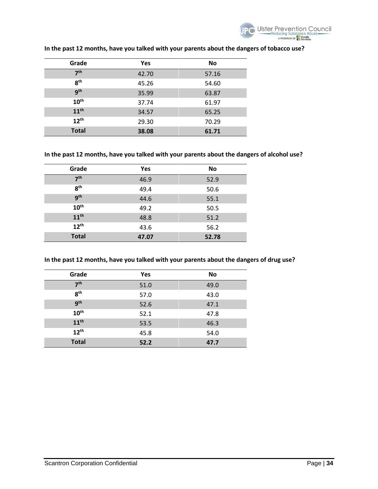

| Grade            | Yes   | <b>No</b> |
|------------------|-------|-----------|
| 7 <sup>th</sup>  | 42.70 | 57.16     |
| 8 <sup>th</sup>  | 45.26 | 54.60     |
| gth              | 35.99 | 63.87     |
| 10 <sup>th</sup> | 37.74 | 61.97     |
| 11 <sup>th</sup> | 34.57 | 65.25     |
| $12^{th}$        | 29.30 | 70.29     |
| <b>Total</b>     | 38.08 | 61.71     |

## **In the past 12 months, have you talked with your parents about the dangers of tobacco use?**

## **In the past 12 months, have you talked with your parents about the dangers of alcohol use?**

| Grade            | Yes   | <b>No</b> |
|------------------|-------|-----------|
| 7 <sup>th</sup>  | 46.9  | 52.9      |
| 8 <sup>th</sup>  | 49.4  | 50.6      |
| <b>gth</b>       | 44.6  | 55.1      |
| 10 <sup>th</sup> | 49.2  | 50.5      |
| $11^{\text{th}}$ | 48.8  | 51.2      |
| $12^{th}$        | 43.6  | 56.2      |
| <b>Total</b>     | 47.07 | 52.78     |

#### **In the past 12 months, have you talked with your parents about the dangers of drug use?**

| Grade            | Yes  | <b>No</b> |
|------------------|------|-----------|
| 7 <sup>th</sup>  | 51.0 | 49.0      |
| 8 <sup>th</sup>  | 57.0 | 43.0      |
| <b>gth</b>       | 52.6 | 47.1      |
| $10^{\text{th}}$ | 52.1 | 47.8      |
| 11 <sup>th</sup> | 53.5 | 46.3      |
| $12^{th}$        | 45.8 | 54.0      |
| <b>Total</b>     | 52.2 | 47.7      |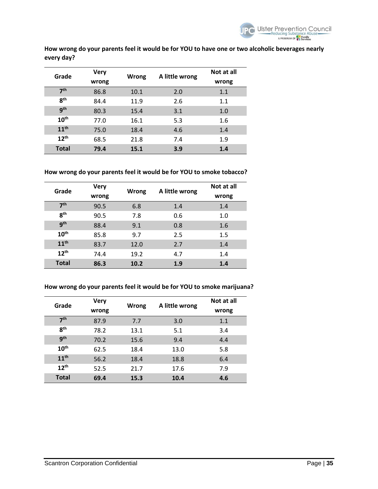

**How wrong do your parents feel it would be for YOU to have one or two alcoholic beverages nearly every day?**

| Grade            | <b>Very</b> |       |                | Not at all |
|------------------|-------------|-------|----------------|------------|
|                  | wrong       | Wrong | A little wrong | wrong      |
| 7 <sup>th</sup>  | 86.8        | 10.1  | 2.0            | 1.1        |
| 8 <sup>th</sup>  | 84.4        | 11.9  | 2.6            | 1.1        |
| 9 <sup>th</sup>  | 80.3        | 15.4  | 3.1            | 1.0        |
| 10 <sup>th</sup> | 77.0        | 16.1  | 5.3            | 1.6        |
| 11 <sup>th</sup> | 75.0        | 18.4  | 4.6            | 1.4        |
| 12 <sup>th</sup> | 68.5        | 21.8  | 7.4            | 1.9        |
| <b>Total</b>     | 79.4        | 15.1  | 3.9            | 1.4        |

**How wrong do your parents feel it would be for YOU to smoke tobacco?**

| Grade            | <b>Very</b><br>wrong | Wrong | A little wrong | Not at all<br>wrong |
|------------------|----------------------|-------|----------------|---------------------|
| 7 <sup>th</sup>  | 90.5                 | 6.8   | 1.4            | 1.4                 |
| 8 <sup>th</sup>  | 90.5                 | 7.8   | 0.6            | 1.0                 |
| 9 <sup>th</sup>  | 88.4                 | 9.1   | 0.8            | 1.6                 |
| $10^{\text{th}}$ | 85.8                 | 9.7   | 2.5            | 1.5                 |
| 11 <sup>th</sup> | 83.7                 | 12.0  | 2.7            | 1.4                 |
| 12 <sup>th</sup> | 74.4                 | 19.2  | 4.7            | 1.4                 |
| <b>Total</b>     | 86.3                 | 10.2  | 1.9            | 1.4                 |

## **How wrong do your parents feel it would be for YOU to smoke marijuana?**

| Grade            | <b>Very</b> | Wrong |                | Not at all |
|------------------|-------------|-------|----------------|------------|
|                  | wrong       |       | A little wrong | wrong      |
| 7 <sup>th</sup>  | 87.9        | 7.7   | 3.0            | 1.1        |
| 8 <sup>th</sup>  | 78.2        | 13.1  | 5.1            | 3.4        |
| <b>gth</b>       | 70.2        | 15.6  | 9.4            | 4.4        |
| 10 <sup>th</sup> | 62.5        | 18.4  | 13.0           | 5.8        |
| 11 <sup>th</sup> | 56.2        | 18.4  | 18.8           | 6.4        |
| $12^{th}$        | 52.5        | 21.7  | 17.6           | 7.9        |
| <b>Total</b>     | 69.4        | 15.3  | 10.4           | 4.6        |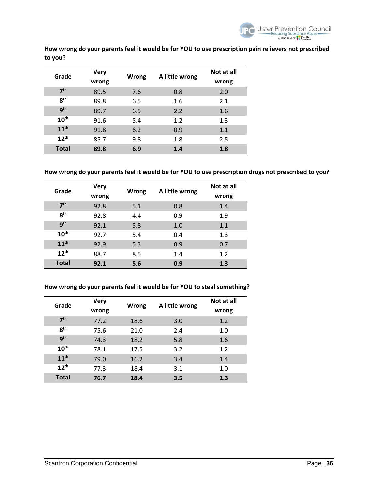**How wrong do your parents feel it would be for YOU to use prescription pain relievers not prescribed to you?**

| Grade            | Very  |       |                | Not at all |
|------------------|-------|-------|----------------|------------|
|                  | wrong | Wrong | A little wrong | wrong      |
| 7 <sup>th</sup>  | 89.5  | 7.6   | 0.8            | 2.0        |
| 8 <sup>th</sup>  | 89.8  | 6.5   | 1.6            | 2.1        |
| 9 <sup>th</sup>  | 89.7  | 6.5   | 2.2            | 1.6        |
| 10 <sup>th</sup> | 91.6  | 5.4   | 1.2            | 1.3        |
| 11 <sup>th</sup> | 91.8  | 6.2   | 0.9            | 1.1        |
| $12^{th}$        | 85.7  | 9.8   | 1.8            | 2.5        |
| <b>Total</b>     | 89.8  | 6.9   | 1.4            | 1.8        |

**How wrong do your parents feel it would be for YOU to use prescription drugs not prescribed to you?**

| Grade            | <b>Very</b><br>wrong | Wrong | A little wrong | Not at all<br>wrong |
|------------------|----------------------|-------|----------------|---------------------|
| 7 <sup>th</sup>  | 92.8                 | 5.1   | 0.8            | 1.4                 |
| $R^{th}$         | 92.8                 | 4.4   | 0.9            | 1.9                 |
| 9 <sup>th</sup>  | 92.1                 | 5.8   | 1.0            | 1.1                 |
| 10 <sup>th</sup> | 92.7                 | 5.4   | 0.4            | 1.3                 |
| 11 <sup>th</sup> | 92.9                 | 5.3   | 0.9            | 0.7                 |
| 12 <sup>th</sup> | 88.7                 | 8.5   | 1.4            | 1.2                 |
| <b>Total</b>     | 92.1                 | 5.6   | 0.9            | 1.3                 |

#### **How wrong do your parents feel it would be for YOU to steal something?**

| Grade            | <b>Very</b> |       |                | Not at all |
|------------------|-------------|-------|----------------|------------|
|                  | wrong       | Wrong | A little wrong | wrong      |
| 7 <sup>th</sup>  | 77.2        | 18.6  | 3.0            | 1.2        |
| 8 <sup>th</sup>  | 75.6        | 21.0  | 2.4            | 1.0        |
| <b>gth</b>       | 74.3        | 18.2  | 5.8            | 1.6        |
| 10 <sup>th</sup> | 78.1        | 17.5  | 3.2            | 1.2        |
| 11 <sup>th</sup> | 79.0        | 16.2  | 3.4            | 1.4        |
| $12^{th}$        | 77.3        | 18.4  | 3.1            | 1.0        |
| <b>Total</b>     | 76.7        | 18.4  | 3.5            | 1.3        |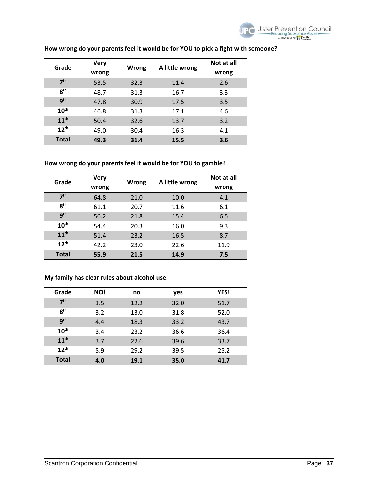

| Grade            | <b>Very</b> | Wrong |                | Not at all |
|------------------|-------------|-------|----------------|------------|
|                  | wrong       |       | A little wrong | wrong      |
| 7 <sup>th</sup>  | 53.5        | 32.3  | 11.4           | 2.6        |
| $R^{th}$         | 48.7        | 31.3  | 16.7           | 3.3        |
| <b>gth</b>       | 47.8        | 30.9  | 17.5           | 3.5        |
| 10 <sup>th</sup> | 46.8        | 31.3  | 17.1           | 4.6        |
| 11 <sup>th</sup> | 50.4        | 32.6  | 13.7           | 3.2        |
| $12^{th}$        | 49.0        | 30.4  | 16.3           | 4.1        |
| <b>Total</b>     | 49.3        | 31.4  | 15.5           | 3.6        |

## **How wrong do your parents feel it would be for YOU to pick a fight with someone?**

#### **How wrong do your parents feel it would be for YOU to gamble?**

| Grade            | <b>Very</b> | Wrong | A little wrong | Not at all |
|------------------|-------------|-------|----------------|------------|
|                  | wrong       |       |                | wrong      |
| 7 <sup>th</sup>  | 64.8        | 21.0  | 10.0           | 4.1        |
| 8 <sup>th</sup>  | 61.1        | 20.7  | 11.6           | 6.1        |
| 9 <sup>th</sup>  | 56.2        | 21.8  | 15.4           | 6.5        |
| 10 <sup>th</sup> | 54.4        | 20.3  | 16.0           | 9.3        |
| 11 <sup>th</sup> | 51.4        | 23.2  | 16.5           | 8.7        |
| 12 <sup>th</sup> | 42.2        | 23.0  | 22.6           | 11.9       |
| <b>Total</b>     | 55.9        | 21.5  | 14.9           | 7.5        |

#### **My family has clear rules about alcohol use.**

| Grade            | NO! | no   | yes  | YES! |
|------------------|-----|------|------|------|
| 7 <sup>th</sup>  | 3.5 | 12.2 | 32.0 | 51.7 |
| 8 <sup>th</sup>  | 3.2 | 13.0 | 31.8 | 52.0 |
| <b>gth</b>       | 4.4 | 18.3 | 33.2 | 43.7 |
| 10 <sup>th</sup> | 3.4 | 23.2 | 36.6 | 36.4 |
| 11 <sup>th</sup> | 3.7 | 22.6 | 39.6 | 33.7 |
| 12 <sup>th</sup> | 5.9 | 29.2 | 39.5 | 25.2 |
| <b>Total</b>     | 4.0 | 19.1 | 35.0 | 41.7 |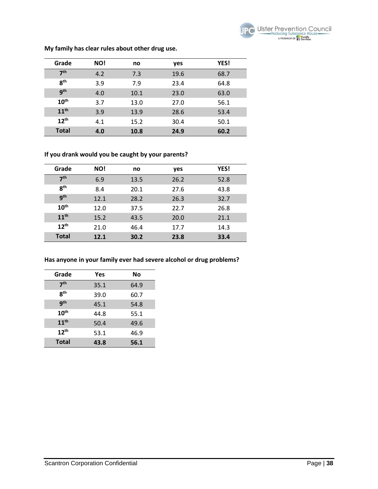

| Grade            | NO! | no   | yes  | YES! |
|------------------|-----|------|------|------|
| 7 <sup>th</sup>  | 4.2 | 7.3  | 19.6 | 68.7 |
| 8 <sup>th</sup>  | 3.9 | 7.9  | 23.4 | 64.8 |
| 9 <sup>th</sup>  | 4.0 | 10.1 | 23.0 | 63.0 |
| 10 <sup>th</sup> | 3.7 | 13.0 | 27.0 | 56.1 |
| 11 <sup>th</sup> | 3.9 | 13.9 | 28.6 | 53.4 |
| 12 <sup>th</sup> | 4.1 | 15.2 | 30.4 | 50.1 |
| <b>Total</b>     | 4.0 | 10.8 | 24.9 | 60.2 |

**My family has clear rules about other drug use.**

## **If you drank would you be caught by your parents?**

| Grade            | NO!  | no   | yes  | <b>YES!</b> |
|------------------|------|------|------|-------------|
| 7 <sup>th</sup>  | 6.9  | 13.5 | 26.2 | 52.8        |
| 8 <sup>th</sup>  | 8.4  | 20.1 | 27.6 | 43.8        |
| <b>gth</b>       | 12.1 | 28.2 | 26.3 | 32.7        |
| 10 <sup>th</sup> | 12.0 | 37.5 | 22.7 | 26.8        |
| 11 <sup>th</sup> | 15.2 | 43.5 | 20.0 | 21.1        |
| $12^{th}$        | 21.0 | 46.4 | 17.7 | 14.3        |
| <b>Total</b>     | 12.1 | 30.2 | 23.8 | 33.4        |

## **Has anyone in your family ever had severe alcohol or drug problems?**

| Grade            | Yes  | No   |
|------------------|------|------|
| 7 <sup>th</sup>  | 35.1 | 64.9 |
| <b>gth</b>       | 39.0 | 60.7 |
| <b>gth</b>       | 45.1 | 54.8 |
| 10 <sup>th</sup> | 44.8 | 55.1 |
| 11 <sup>th</sup> | 50.4 | 49.6 |
| 12 <sup>th</sup> | 53.1 | 46.9 |
| <b>Total</b>     | 43.8 | 56.1 |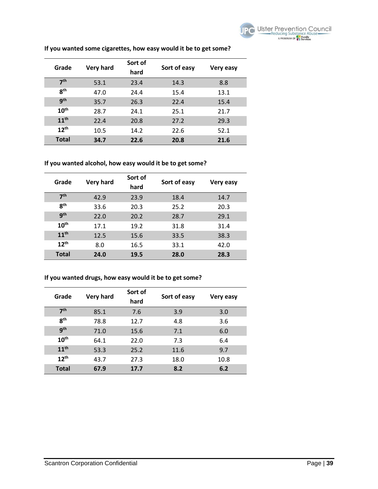

| Grade            | <b>Very hard</b> | Sort of<br>hard | Sort of easy | Very easy |
|------------------|------------------|-----------------|--------------|-----------|
| 7 <sup>th</sup>  | 53.1             | 23.4            | 14.3         | 8.8       |
| 8 <sup>th</sup>  | 47.0             | 24.4            | 15.4         | 13.1      |
| <b>gth</b>       | 35.7             | 26.3            | 22.4         | 15.4      |
| 10 <sup>th</sup> | 28.7             | 24.1            | 25.1         | 21.7      |
| 11 <sup>th</sup> | 22.4             | 20.8            | 27.2         | 29.3      |
| $12^{th}$        | 10.5             | 14.2            | 22.6         | 52.1      |
| <b>Total</b>     | 34.7             | 22.6            | 20.8         | 21.6      |

## **If you wanted some cigarettes, how easy would it be to get some?**

#### **If you wanted alcohol, how easy would it be to get some?**

| Grade            | <b>Very hard</b> | Sort of<br>hard | Sort of easy | Very easy |
|------------------|------------------|-----------------|--------------|-----------|
| 7 <sup>th</sup>  | 42.9             | 23.9            | 18.4         | 14.7      |
| 8 <sup>th</sup>  | 33.6             | 20.3            | 25.2         | 20.3      |
| 9 <sup>th</sup>  | 22.0             | 20.2            | 28.7         | 29.1      |
| $10^{\text{th}}$ | 17.1             | 19.2            | 31.8         | 31.4      |
| 11 <sup>th</sup> | 12.5             | 15.6            | 33.5         | 38.3      |
| 12 <sup>th</sup> | 8.0              | 16.5            | 33.1         | 42.0      |
| <b>Total</b>     | 24.0             | 19.5            | 28.0         | 28.3      |

#### **If you wanted drugs, how easy would it be to get some?**

| Grade            | <b>Very hard</b> | Sort of<br>hard | Sort of easy | Very easy |
|------------------|------------------|-----------------|--------------|-----------|
| 7 <sup>th</sup>  | 85.1             | 7.6             | 3.9          | 3.0       |
| <b>gth</b>       | 78.8             | 12.7            | 4.8          | 3.6       |
| gth              | 71.0             | 15.6            | 7.1          | 6.0       |
| 10 <sup>th</sup> | 64.1             | 22.0            | 7.3          | 6.4       |
| 11 <sup>th</sup> | 53.3             | 25.2            | 11.6         | 9.7       |
| $12^{th}$        | 43.7             | 27.3            | 18.0         | 10.8      |
| <b>Total</b>     | 67.9             | 17.7            | 8.2          | 6.2       |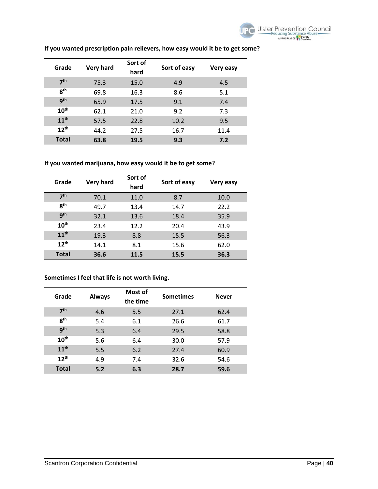

| Grade            | <b>Very hard</b> | Sort of | Sort of easy |           |
|------------------|------------------|---------|--------------|-----------|
|                  |                  | hard    |              | Very easy |
| 7 <sup>th</sup>  | 75.3             | 15.0    | 4.9          | 4.5       |
| R <sup>th</sup>  | 69.8             | 16.3    | 8.6          | 5.1       |
| <b>gth</b>       | 65.9             | 17.5    | 9.1          | 7.4       |
| 10 <sup>th</sup> | 62.1             | 21.0    | 9.2          | 7.3       |
| 11 <sup>th</sup> | 57.5             | 22.8    | 10.2         | 9.5       |
| $12^{th}$        | 44.2             | 27.5    | 16.7         | 11.4      |
| <b>Total</b>     | 63.8             | 19.5    | 9.3          | 7.2       |

## **If you wanted prescription pain relievers, how easy would it be to get some?**

## **If you wanted marijuana, how easy would it be to get some?**

| Grade            | <b>Very hard</b> | Sort of<br>hard | Sort of easy | Very easy |
|------------------|------------------|-----------------|--------------|-----------|
| 7 <sup>th</sup>  | 70.1             | 11.0            | 8.7          | 10.0      |
| 8 <sup>th</sup>  | 49.7             | 13.4            | 14.7         | 22.2      |
| 9 <sup>th</sup>  | 32.1             | 13.6            | 18.4         | 35.9      |
| 10 <sup>th</sup> | 23.4             | 12.2            | 20.4         | 43.9      |
| 11 <sup>th</sup> | 19.3             | 8.8             | 15.5         | 56.3      |
| $12^{th}$        | 14.1             | 8.1             | 15.6         | 62.0      |
| <b>Total</b>     | 36.6             | 11.5            | 15.5         | 36.3      |

## **Sometimes I feel that life is not worth living.**

| Grade            | <b>Always</b> | Most of<br>the time | <b>Sometimes</b> | <b>Never</b> |
|------------------|---------------|---------------------|------------------|--------------|
| 7 <sup>th</sup>  | 4.6           | 5.5                 | 27.1             | 62.4         |
| 8 <sup>th</sup>  | 5.4           | 6.1                 | 26.6             | 61.7         |
| <b>gth</b>       | 5.3           | 6.4                 | 29.5             | 58.8         |
| 10 <sup>th</sup> | 5.6           | 6.4                 | 30.0             | 57.9         |
| 11 <sup>th</sup> | 5.5           | 6.2                 | 27.4             | 60.9         |
| 12 <sup>th</sup> | 4.9           | 7.4                 | 32.6             | 54.6         |
| <b>Total</b>     | 5.2           | 6.3                 | 28.7             | 59.6         |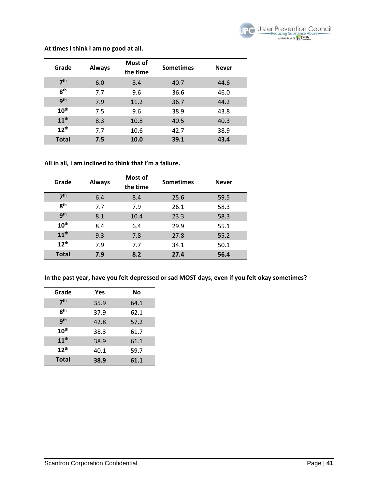

#### **At times I think I am no good at all.**

| Grade            | <b>Always</b> | Most of<br>the time | <b>Sometimes</b> | <b>Never</b> |
|------------------|---------------|---------------------|------------------|--------------|
| 7 <sup>th</sup>  | 6.0           | 8.4                 | 40.7             | 44.6         |
| 8 <sup>th</sup>  | 7.7           | 9.6                 | 36.6             | 46.0         |
| gth              | 7.9           | 11.2                | 36.7             | 44.2         |
| 10 <sup>th</sup> | 7.5           | 9.6                 | 38.9             | 43.8         |
| 11 <sup>th</sup> | 8.3           | 10.8                | 40.5             | 40.3         |
| $12^{th}$        | 7.7           | 10.6                | 42.7             | 38.9         |
| <b>Total</b>     | 7.5           | 10.0                | 39.1             | 43.4         |

#### **All in all, I am inclined to think that I'm a failure.**

| Grade            | <b>Always</b> | Most of<br>the time | <b>Sometimes</b> | <b>Never</b> |
|------------------|---------------|---------------------|------------------|--------------|
| 7 <sup>th</sup>  | 6.4           | 8.4                 | 25.6             | 59.5         |
| 8 <sup>th</sup>  | 7.7           | 7.9                 | 26.1             | 58.3         |
| gth              | 8.1           | 10.4                | 23.3             | 58.3         |
| 10 <sup>th</sup> | 8.4           | 6.4                 | 29.9             | 55.1         |
| 11 <sup>th</sup> | 9.3           | 7.8                 | 27.8             | 55.2         |
| 12 <sup>th</sup> | 7.9           | 7.7                 | 34.1             | 50.1         |
| <b>Total</b>     | 7.9           | 8.2                 | 27.4             | 56.4         |

**In the past year, have you felt depressed or sad MOST days, even if you felt okay sometimes?**

| Grade            | Yes  | No   |
|------------------|------|------|
| 7 <sup>th</sup>  | 35.9 | 64.1 |
| 8 <sup>th</sup>  | 37.9 | 62.1 |
| <b>gth</b>       | 42.8 | 57.2 |
| 10 <sup>th</sup> | 38.3 | 61.7 |
| 11 <sup>th</sup> | 38.9 | 61.1 |
| 12 <sup>th</sup> | 40.1 | 59.7 |
| <b>Total</b>     | 38.9 | 61.1 |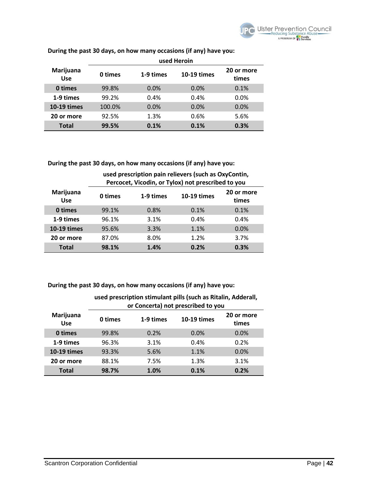

|                         | used Heroin |           |                    |                     |
|-------------------------|-------------|-----------|--------------------|---------------------|
| Marijuana<br><b>Use</b> | 0 times     | 1-9 times | <b>10-19 times</b> | 20 or more<br>times |
| 0 times                 | 99.8%       | 0.0%      | 0.0%               | 0.1%                |
| 1-9 times               | 99.2%       | 0.4%      | 0.4%               | 0.0%                |
| <b>10-19 times</b>      | 100.0%      | 0.0%      | 0.0%               | 0.0%                |
| 20 or more              | 92.5%       | 1.3%      | 0.6%               | 5.6%                |
| <b>Total</b>            | 99.5%       | 0.1%      | 0.1%               | 0.3%                |

**During the past 30 days, on how many occasions (if any) have you:** 

**During the past 30 days, on how many occasions (if any) have you:** 

|                         | used prescription pain relievers (such as OxyContin,<br>Percocet, Vicodin, or Tylox) not prescribed to you |           |                    |                     |
|-------------------------|------------------------------------------------------------------------------------------------------------|-----------|--------------------|---------------------|
| Marijuana<br><b>Use</b> | 0 times                                                                                                    | 1-9 times | <b>10-19 times</b> | 20 or more<br>times |
| 0 times                 | 99.1%                                                                                                      | 0.8%      | 0.1%               | 0.1%                |
| 1-9 times               | 96.1%                                                                                                      | 3.1%      | 0.4%               | 0.4%                |
| <b>10-19 times</b>      | 95.6%                                                                                                      | 3.3%      | 1.1%               | 0.0%                |
| 20 or more              | 87.0%                                                                                                      | 8.0%      | 1.2%               | 3.7%                |
| <b>Total</b>            | 98.1%                                                                                                      | 1.4%      | 0.2%               | 0.3%                |

**During the past 30 days, on how many occasions (if any) have you:** 

|                         | asca prescription stimulant pins (such as ititami, Auucran,<br>or Concerta) not prescribed to you |           |             |                     |
|-------------------------|---------------------------------------------------------------------------------------------------|-----------|-------------|---------------------|
| Marijuana<br><b>Use</b> | 0 times                                                                                           | 1-9 times | 10-19 times | 20 or more<br>times |
| 0 times                 | 99.8%                                                                                             | 0.2%      | 0.0%        | 0.0%                |
| 1-9 times               | 96.3%                                                                                             | 3.1%      | 0.4%        | 0.2%                |
| <b>10-19 times</b>      | 93.3%                                                                                             | 5.6%      | 1.1%        | 0.0%                |
| 20 or more              | 88.1%                                                                                             | 7.5%      | 1.3%        | 3.1%                |
| <b>Total</b>            | 98.7%                                                                                             | 1.0%      | 0.1%        | 0.2%                |

# **used prescription stimulant pills (such as Ritalin, Adderall,**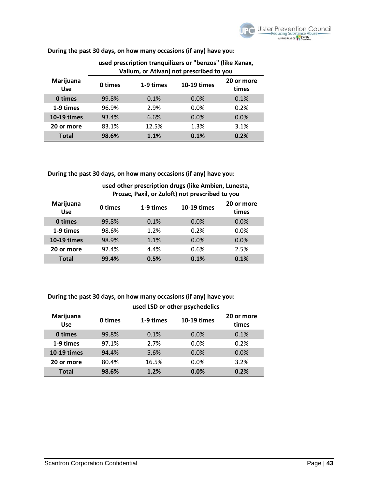**During the past 30 days, on how many occasions (if any) have you:** 

|                         | Valium, or Ativan) not prescribed to you |           |             |                     |  |
|-------------------------|------------------------------------------|-----------|-------------|---------------------|--|
| Marijuana<br><b>Use</b> | 0 times                                  | 1-9 times | 10-19 times | 20 or more<br>times |  |
| 0 times                 | 99.8%                                    | 0.1%      | 0.0%        | 0.1%                |  |
| 1-9 times               | 96.9%                                    | 2.9%      | 0.0%        | 0.2%                |  |
| <b>10-19 times</b>      | 93.4%                                    | 6.6%      | 0.0%        | 0.0%                |  |
| 20 or more              | 83.1%                                    | 12.5%     | 1.3%        | 3.1%                |  |
| <b>Total</b>            | 98.6%                                    | 1.1%      | 0.1%        | 0.2%                |  |

# **used prescription tranquilizers or "benzos" (like Xanax,**

**During the past 30 days, on how many occasions (if any) have you:** 

#### **used other prescription drugs (like Ambien, Lunesta, Prozac, Paxil, or Zoloft) not prescribed to you Marijuana Use 0 times 1-9 times 10-19 times 20 or more**

| <b>Use</b>         | 0 times | 1-9 times | 10-19 times | times |
|--------------------|---------|-----------|-------------|-------|
| 0 times            | 99.8%   | 0.1%      | 0.0%        | 0.0%  |
| 1-9 times          | 98.6%   | 1.2%      | 0.2%        | 0.0%  |
| <b>10-19 times</b> | 98.9%   | 1.1%      | 0.0%        | 0.0%  |
| 20 or more         | 92.4%   | 4.4%      | 0.6%        | 2.5%  |
| <b>Total</b>       | 99.4%   | 0.5%      | 0.1%        | 0.1%  |

## **During the past 30 days, on how many occasions (if any) have you:**

|                         | used LSD or other psychedelics |           |             |                     |
|-------------------------|--------------------------------|-----------|-------------|---------------------|
| Marijuana<br><b>Use</b> | 0 times                        | 1-9 times | 10-19 times | 20 or more<br>times |
| 0 times                 | 99.8%                          | 0.1%      | 0.0%        | 0.1%                |
| 1-9 times               | 97.1%                          | 2.7%      | $0.0\%$     | 0.2%                |
| <b>10-19 times</b>      | 94.4%                          | 5.6%      | 0.0%        | 0.0%                |
| 20 or more              | 80.4%                          | 16.5%     | 0.0%        | 3.2%                |
| <b>Total</b>            | 98.6%                          | 1.2%      | 0.0%        | 0.2%                |